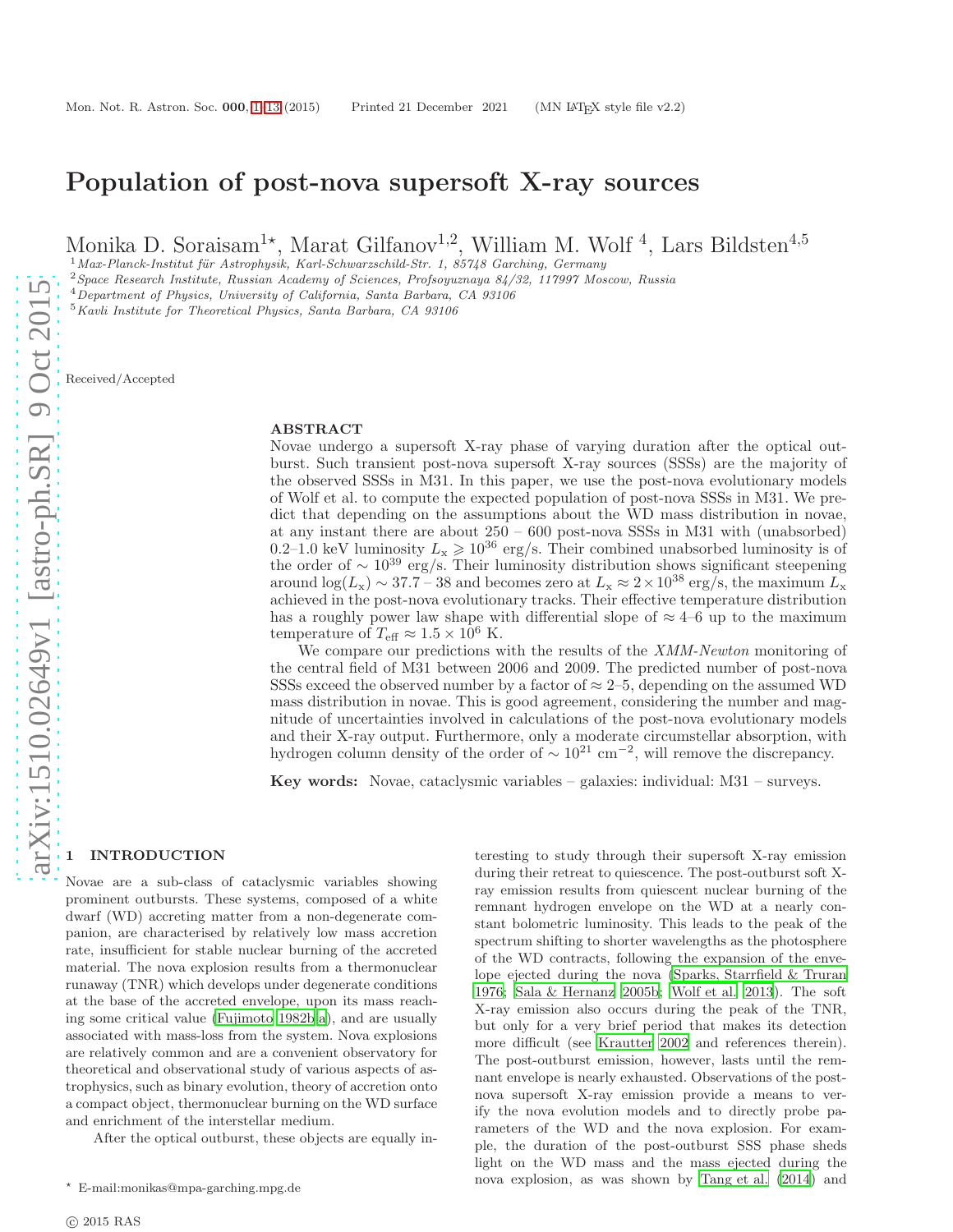# Population of post-nova supersoft X-ray sources

Monika D. Soraisam<sup>1\*</sup>, Marat Gilfanov<sup>1,2</sup>, William M. Wolf<sup>4</sup>, Lars Bildsten<sup>4,5</sup>

 $1$ Max-Planck-Institut für Astrophysik, Karl-Schwarzschild-Str. 1, 85748 Garching, Germany

<sup>2</sup>Space Research Institute, Russian Academy of Sciences, Profsoyuznaya 84/32, 117997 Moscow, Russia

<sup>4</sup>Department of Physics, University of California, Santa Barbara, CA 93106

 $^5\!$  Kavli Institute for Theoretical Physics, Santa Barbara, CA 93106

Received/Accepted

#### ABSTRACT

Novae undergo a supersoft X-ray phase of varying duration after the optical outburst. Such transient post-nova supersoft X-ray sources (SSSs) are the majority of the observed SSSs in M31. In this paper, we use the post-nova evolutionary models of Wolf et al. to compute the expected population of post-nova SSSs in M31. We predict that depending on the assumptions about the WD mass distribution in novae, at any instant there are about 250 – 600 post-nova SSSs in M31 with (unabsorbed) 0.2–1.0 keV luminosity  $L_x \ge 10^{36}$  erg/s. Their combined unabsorbed luminosity is of the order of  $\sim 10^{39}$  erg/s. Their luminosity distribution shows significant steepening around  $\log(L_{\rm x}) \sim 37.7 - 38$  and becomes zero at  $L_{\rm x} \approx 2 \times 10^{38}$  erg/s, the maximum  $L_{\rm x}$ achieved in the post-nova evolutionary tracks. Their effective temperature distribution has a roughly power law shape with differential slope of  $\approx 4-6$  up to the maximum temperature of  $T_{\text{eff}} \approx 1.5 \times 10^6$  K.

We compare our predictions with the results of the XMM-Newton monitoring of the central field of M31 between 2006 and 2009. The predicted number of post-nova SSSs exceed the observed number by a factor of  $\approx$  2–5, depending on the assumed WD mass distribution in novae. This is good agreement, considering the number and magnitude of uncertainties involved in calculations of the post-nova evolutionary models and their X-ray output. Furthermore, only a moderate circumstellar absorption, with hydrogen column density of the order of  $\sim 10^{21}$  cm<sup>-2</sup>, will remove the discrepancy.

Key words: Novae, cataclysmic variables – galaxies: individual: M31 – surveys.

## <span id="page-0-0"></span>**INTRODUCTION**

Novae are a sub-class of cataclysmic variables showing prominent outbursts. These systems, composed of a white dwarf (WD) accreting matter from a non-degenerate companion, are characterised by relatively low mass accretion rate, insufficient for stable nuclear burning of the accreted material. The nova explosion results from a thermonuclear runaway (TNR) which develops under degenerate conditions at the base of the accreted envelope, upon its mass reaching some critical value [\(Fujimoto 1982b](#page-10-0)[,a\)](#page-10-1), and are usually associated with mass-loss from the system. Nova explosions are relatively common and are a convenient observatory for theoretical and observational study of various aspects of astrophysics, such as binary evolution, theory of accretion onto a compact object, thermonuclear burning on the WD surface and enrichment of the interstellar medium.

After the optical outburst, these objects are equally in-

teresting to study through their supersoft X-ray emission during their retreat to quiescence. The post-outburst soft Xray emission results from quiescent nuclear burning of the remnant hydrogen envelope on the WD at a nearly constant bolometric luminosity. This leads to the peak of the spectrum shifting to shorter wavelengths as the photosphere of the WD contracts, following the expansion of the envelope ejected during the nova [\(Sparks, Starrfield & Truran](#page-11-0) [1976](#page-11-0); [Sala & Hernanz 2005b;](#page-11-1) [Wolf et al. 2013](#page-11-2)). The soft X-ray emission also occurs during the peak of the TNR, but only for a very brief period that makes its detection more difficult (see [Krautter 2002](#page-10-2) and references therein). The post-outburst emission, however, lasts until the remnant envelope is nearly exhausted. Observations of the postnova supersoft X-ray emission provide a means to verify the nova evolution models and to directly probe parameters of the WD and the nova explosion. For example, the duration of the post-outburst SSS phase sheds light on the WD mass and the mass ejected during the nova explosion, as was shown by [Tang et al. \(2014\)](#page-11-3) and

 $^\star\;$  E-mail:monikas@mpa-garching.mpg.de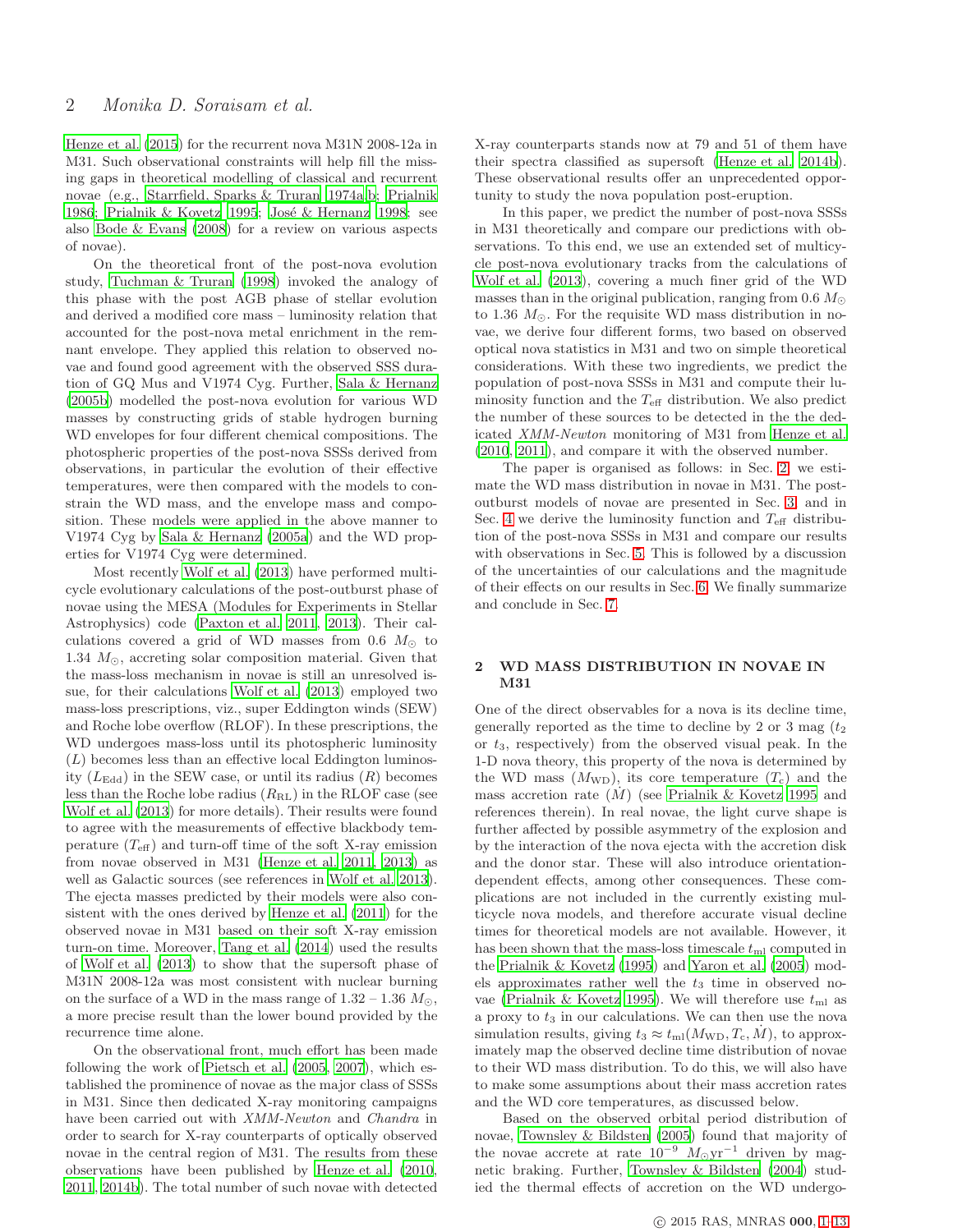[Henze et al. \(2015](#page-10-3)) for the recurrent nova M31N 2008-12a in M31. Such observational constraints will help fill the missing gaps in theoretical modelling of classical and recurrent novae (e.g., [Starrfield, Sparks & Truran 1974a](#page-11-4)[,b;](#page-11-5) [Prialnik](#page-11-6) [1986](#page-11-6); [Prialnik & Kovetz 1995](#page-11-7); José & Hernanz 1998; see also [Bode & Evans \(2008](#page-10-5)) for a review on various aspects of novae).

On the theoretical front of the post-nova evolution study, [Tuchman & Truran \(1998](#page-11-8)) invoked the analogy of this phase with the post AGB phase of stellar evolution and derived a modified core mass – luminosity relation that accounted for the post-nova metal enrichment in the remnant envelope. They applied this relation to observed novae and found good agreement with the observed SSS duration of GQ Mus and V1974 Cyg. Further, [Sala & Hernanz](#page-11-1) [\(2005b](#page-11-1)) modelled the post-nova evolution for various WD masses by constructing grids of stable hydrogen burning WD envelopes for four different chemical compositions. The photospheric properties of the post-nova SSSs derived from observations, in particular the evolution of their effective temperatures, were then compared with the models to constrain the WD mass, and the envelope mass and composition. These models were applied in the above manner to V1974 Cyg by [Sala & Hernanz \(2005a\)](#page-11-9) and the WD properties for V1974 Cyg were determined.

Most recently [Wolf et al. \(2013](#page-11-2)) have performed multicycle evolutionary calculations of the post-outburst phase of novae using the MESA (Modules for Experiments in Stellar Astrophysics) code [\(Paxton et al. 2011](#page-10-6), [2013](#page-10-7)). Their calculations covered a grid of WD masses from 0.6  $M_{\odot}$  to 1.34  $M_{\odot}$ , accreting solar composition material. Given that the mass-loss mechanism in novae is still an unresolved issue, for their calculations [Wolf et al. \(2013](#page-11-2)) employed two mass-loss prescriptions, viz., super Eddington winds (SEW) and Roche lobe overflow (RLOF). In these prescriptions, the WD undergoes mass-loss until its photospheric luminosity  $(L)$  becomes less than an effective local Eddington luminosity  $(L_{\text{Edd}})$  in the SEW case, or until its radius  $(R)$  becomes less than the Roche lobe radius  $(R_{\rm RL})$  in the RLOF case (see [Wolf et al. \(2013](#page-11-2)) for more details). Their results were found to agree with the measurements of effective blackbody temperature  $(T_{\text{eff}})$  and turn-off time of the soft X-ray emission from novae observed in M31 [\(Henze et al. 2011,](#page-10-8) [2013](#page-10-9)) as well as Galactic sources (see references in [Wolf et al. 2013](#page-11-2)). The ejecta masses predicted by their models were also consistent with the ones derived by [Henze et al. \(2011](#page-10-8)) for the observed novae in M31 based on their soft X-ray emission turn-on time. Moreover, [Tang et al. \(2014](#page-11-3)) used the results of [Wolf et al. \(2013](#page-11-2)) to show that the supersoft phase of M31N 2008-12a was most consistent with nuclear burning on the surface of a WD in the mass range of  $1.32 - 1.36$   $M_{\odot}$ , a more precise result than the lower bound provided by the recurrence time alone.

On the observational front, much effort has been made following the work of [Pietsch et al. \(2005](#page-11-10), [2007](#page-11-11)), which established the prominence of novae as the major class of SSSs in M31. Since then dedicated X-ray monitoring campaigns have been carried out with XMM-Newton and Chandra in order to search for X-ray counterparts of optically observed novae in the central region of M31. The results from these observations have been published by [Henze et al. \(2010,](#page-10-10) [2011](#page-10-8), [2014b](#page-10-11)). The total number of such novae with detected X-ray counterparts stands now at 79 and 51 of them have their spectra classified as supersoft [\(Henze et al. 2014b](#page-10-11)). These observational results offer an unprecedented opportunity to study the nova population post-eruption.

In this paper, we predict the number of post-nova SSSs in M31 theoretically and compare our predictions with observations. To this end, we use an extended set of multicycle post-nova evolutionary tracks from the calculations of [Wolf et al. \(2013\)](#page-11-2), covering a much finer grid of the WD masses than in the original publication, ranging from 0.6  $M_{\odot}$ to 1.36  $M_{\odot}$ . For the requisite WD mass distribution in novae, we derive four different forms, two based on observed optical nova statistics in M31 and two on simple theoretical considerations. With these two ingredients, we predict the population of post-nova SSSs in M31 and compute their luminosity function and the  $T_{\text{eff}}$  distribution. We also predict the number of these sources to be detected in the the dedicated XMM-Newton monitoring of M31 from [Henze et al.](#page-10-10) [\(2010](#page-10-10), [2011](#page-10-8)), and compare it with the observed number.

The paper is organised as follows: in Sec. [2,](#page-1-0) we estimate the WD mass distribution in novae in M31. The postoutburst models of novae are presented in Sec. [3,](#page-2-0) and in Sec. [4](#page-4-0) we derive the luminosity function and  $T_{\text{eff}}$  distribution of the post-nova SSSs in M31 and compare our results with observations in Sec. [5.](#page-7-0) This is followed by a discussion of the uncertainties of our calculations and the magnitude of their effects on our results in Sec. [6.](#page-8-0) We finally summarize and conclude in Sec. [7.](#page-10-12)

# <span id="page-1-0"></span>2 WD MASS DISTRIBUTION IN NOVAE IN M31

One of the direct observables for a nova is its decline time, generally reported as the time to decline by 2 or 3 mag  $(t_2)$ or  $t_3$ , respectively) from the observed visual peak. In the 1-D nova theory, this property of the nova is determined by the WD mass  $(M_{WD})$ , its core temperature  $(T_c)$  and the mass accretion rate  $(M)$  (see [Prialnik & Kovetz 1995](#page-11-7) and references therein). In real novae, the light curve shape is further affected by possible asymmetry of the explosion and by the interaction of the nova ejecta with the accretion disk and the donor star. These will also introduce orientationdependent effects, among other consequences. These complications are not included in the currently existing multicycle nova models, and therefore accurate visual decline times for theoretical models are not available. However, it has been shown that the mass-loss timescale  $t_{\rm ml}$  computed in the [Prialnik & Kovetz \(1995](#page-11-7)) and [Yaron et al. \(2005\)](#page-11-12) models approximates rather well the  $t_3$  time in observed no-vae [\(Prialnik & Kovetz 1995\)](#page-11-7). We will therefore use  $t_{\rm ml}$  as a proxy to  $t_3$  in our calculations. We can then use the nova simulation results, giving  $t_3 \approx t_{\text{ml}}(M_{\text{WD}}, T_c, M)$ , to approximately map the observed decline time distribution of novae to their WD mass distribution. To do this, we will also have to make some assumptions about their mass accretion rates and the WD core temperatures, as discussed below.

Based on the observed orbital period distribution of novae, [Townsley & Bildsten \(2005](#page-11-13)) found that majority of the novae accrete at rate  $10^{-9}$   $M_{\odot}$  yr<sup>-1</sup> driven by magnetic braking. Further, [Townsley & Bildsten \(2004](#page-11-14)) studied the thermal effects of accretion on the WD undergo-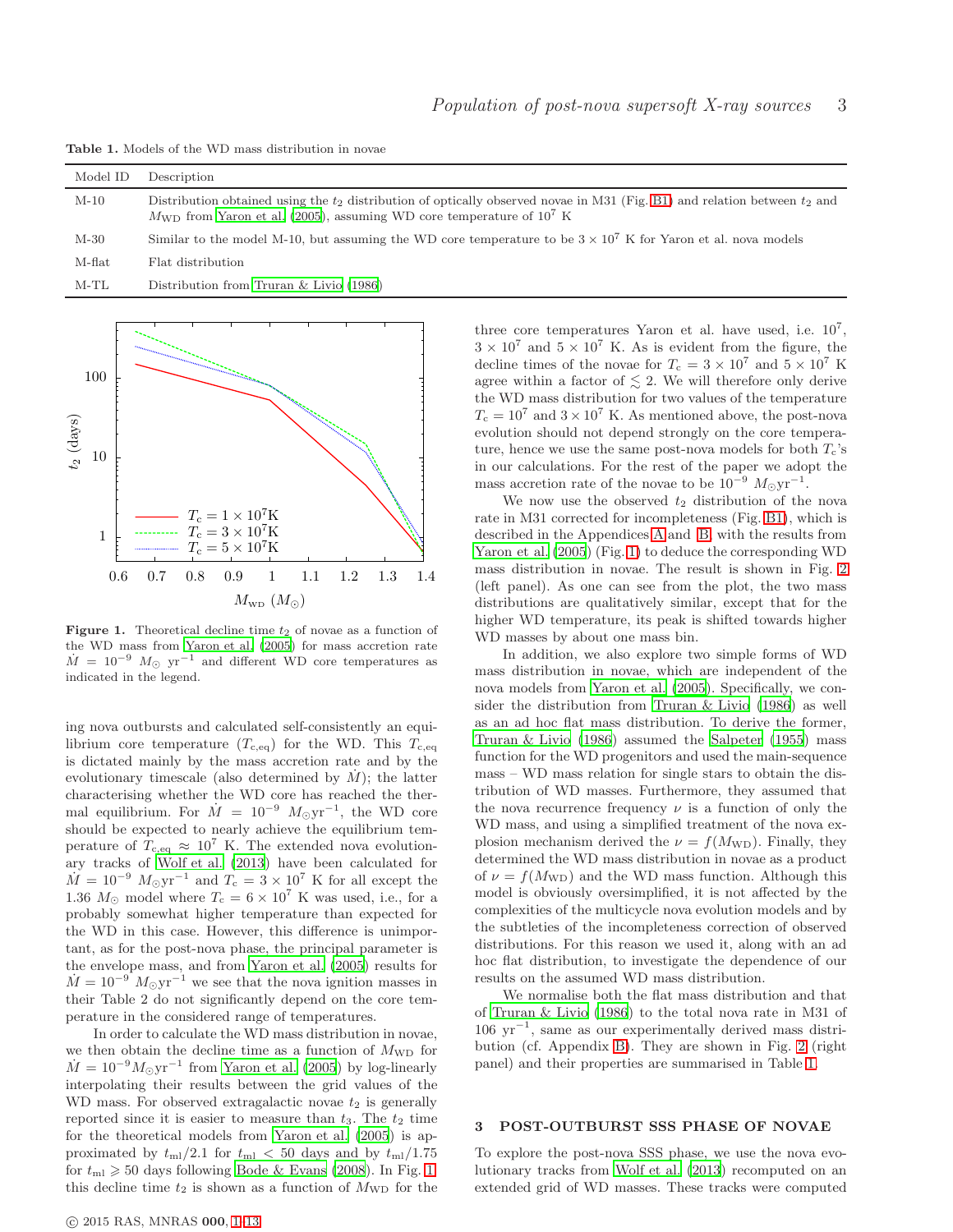Table 1. Models of the WD mass distribution in novae

<span id="page-2-2"></span>

| Model ID | Description                                                                                                                                                                                                                   |
|----------|-------------------------------------------------------------------------------------------------------------------------------------------------------------------------------------------------------------------------------|
| $M-10$   | Distribution obtained using the $t_2$ distribution of optically observed novae in M31 (Fig. B1) and relation between $t_2$ and<br>$M_{\text{WD}}$ from Yaron et al. (2005), assuming WD core temperature of 10 <sup>7</sup> K |
| $M-30$   | Similar to the model M-10, but assuming the WD core temperature to be $3 \times 10^7$ K for Yaron et al. nova models                                                                                                          |
| M-flat   | Flat distribution                                                                                                                                                                                                             |
| $M-TL$   | Distribution from Truran $\&$ Livio (1986)                                                                                                                                                                                    |



<span id="page-2-1"></span>Figure 1. Theoretical decline time  $t_2$  of novae as a function of the WD mass from [Yaron et al. \(2005\)](#page-11-12) for mass accretion rate  $\dot{M} = 10^{-9}$   $M_{\odot}$  yr<sup>-1</sup> and different WD core temperatures as indicated in the legend.

ing nova outbursts and calculated self-consistently an equilibrium core temperature  $(T_{c,eq})$  for the WD. This  $T_{c,eq}$ is dictated mainly by the mass accretion rate and by the evolutionary timescale (also determined by  $\dot{M}$ ); the latter characterising whether the WD core has reached the thermal equilibrium. For  $\dot{M} = 10^{-9} M_{\odot}yr^{-1}$ , the WD core should be expected to nearly achieve the equilibrium temperature of  $T_{c,eq} \approx 10^7$  K. The extended nova evolutionary tracks of [Wolf et al. \(2013](#page-11-2)) have been calculated for  $\dot{M} = 10^{-9} M_{\odot} \text{yr}^{-1}$  and  $T_c = 3 \times 10^7 \text{ K}$  for all except the 1.36  $M_{\odot}$  model where  $T_c = 6 \times 10^7$  K was used, i.e., for a probably somewhat higher temperature than expected for the WD in this case. However, this difference is unimportant, as for the post-nova phase, the principal parameter is the envelope mass, and from [Yaron et al. \(2005\)](#page-11-12) results for  $\dot{M} = 10^{-9} M_{\odot} \text{yr}^{-1}$  we see that the nova ignition masses in their Table 2 do not significantly depend on the core temperature in the considered range of temperatures.

In order to calculate the WD mass distribution in novae, we then obtain the decline time as a function of  $M_{\text{WD}}$  for  $\dot{M} = 10^{-9} M_{\odot} \text{yr}^{-1}$  from [Yaron et al. \(2005](#page-11-12)) by log-linearly interpolating their results between the grid values of the WD mass. For observed extragalactic novae  $t_2$  is generally reported since it is easier to measure than  $t_3$ . The  $t_2$  time for the theoretical models from [Yaron et al. \(2005](#page-11-12)) is approximated by  $t_{\rm ml}/2.1$  for  $t_{\rm ml} < 50$  days and by  $t_{\rm ml}/1.75$ for  $t_{\rm ml} \geqslant 50$  days following [Bode & Evans \(2008\)](#page-10-5). In Fig. [1,](#page-2-1) this decline time  $t_2$  is shown as a function of  $M_{\text{WD}}$  for the

three core temperatures Yaron et al. have used, i.e.  $10^7$ ,  $3 \times 10^7$  and  $5 \times 10^7$  K. As is evident from the figure, the decline times of the novae for  $T_c = 3 \times 10^7$  and  $5 \times 10^7$  K agree within a factor of  $\leq$  2. We will therefore only derive the WD mass distribution for two values of the temperature  $T_c = 10^7$  and  $3 \times 10^7$  K. As mentioned above, the post-nova evolution should not depend strongly on the core temperature, hence we use the same post-nova models for both  $T_c$ 's in our calculations. For the rest of the paper we adopt the mass accretion rate of the novae to be  $10^{-9}$   $M_{\odot}$ yr<sup>-1</sup>.

We now use the observed  $t_2$  distribution of the nova rate in M31 corrected for incompleteness (Fig. [B1\)](#page-12-0), which is described in the Appendices [A](#page-11-16) and [B,](#page-12-1) with the results from [Yaron et al. \(2005\)](#page-11-12) (Fig. [1\)](#page-2-1) to deduce the corresponding WD mass distribution in novae. The result is shown in Fig. [2](#page-3-0) (left panel). As one can see from the plot, the two mass distributions are qualitatively similar, except that for the higher WD temperature, its peak is shifted towards higher WD masses by about one mass bin.

In addition, we also explore two simple forms of WD mass distribution in novae, which are independent of the nova models from [Yaron et al. \(2005](#page-11-12)). Specifically, we consider the distribution from [Truran & Livio \(1986](#page-11-15)) as well as an ad hoc flat mass distribution. To derive the former, [Truran & Livio \(1986](#page-11-15)) assumed the [Salpeter \(1955](#page-11-17)) mass function for the WD progenitors and used the main-sequence mass – WD mass relation for single stars to obtain the distribution of WD masses. Furthermore, they assumed that the nova recurrence frequency  $\nu$  is a function of only the WD mass, and using a simplified treatment of the nova explosion mechanism derived the  $\nu = f(M_{\rm WD})$ . Finally, they determined the WD mass distribution in novae as a product of  $\nu = f(M_{WD})$  and the WD mass function. Although this model is obviously oversimplified, it is not affected by the complexities of the multicycle nova evolution models and by the subtleties of the incompleteness correction of observed distributions. For this reason we used it, along with an ad hoc flat distribution, to investigate the dependence of our results on the assumed WD mass distribution.

We normalise both the flat mass distribution and that of [Truran & Livio \(1986](#page-11-15)) to the total nova rate in M31 of 106 yr<sup>−</sup><sup>1</sup> , same as our experimentally derived mass distribution (cf. Appendix [B\)](#page-12-1). They are shown in Fig. [2](#page-3-0) (right panel) and their properties are summarised in Table [1.](#page-2-2)

# <span id="page-2-0"></span>3 POST-OUTBURST SSS PHASE OF NOVAE

To explore the post-nova SSS phase, we use the nova evolutionary tracks from [Wolf et al. \(2013](#page-11-2)) recomputed on an extended grid of WD masses. These tracks were computed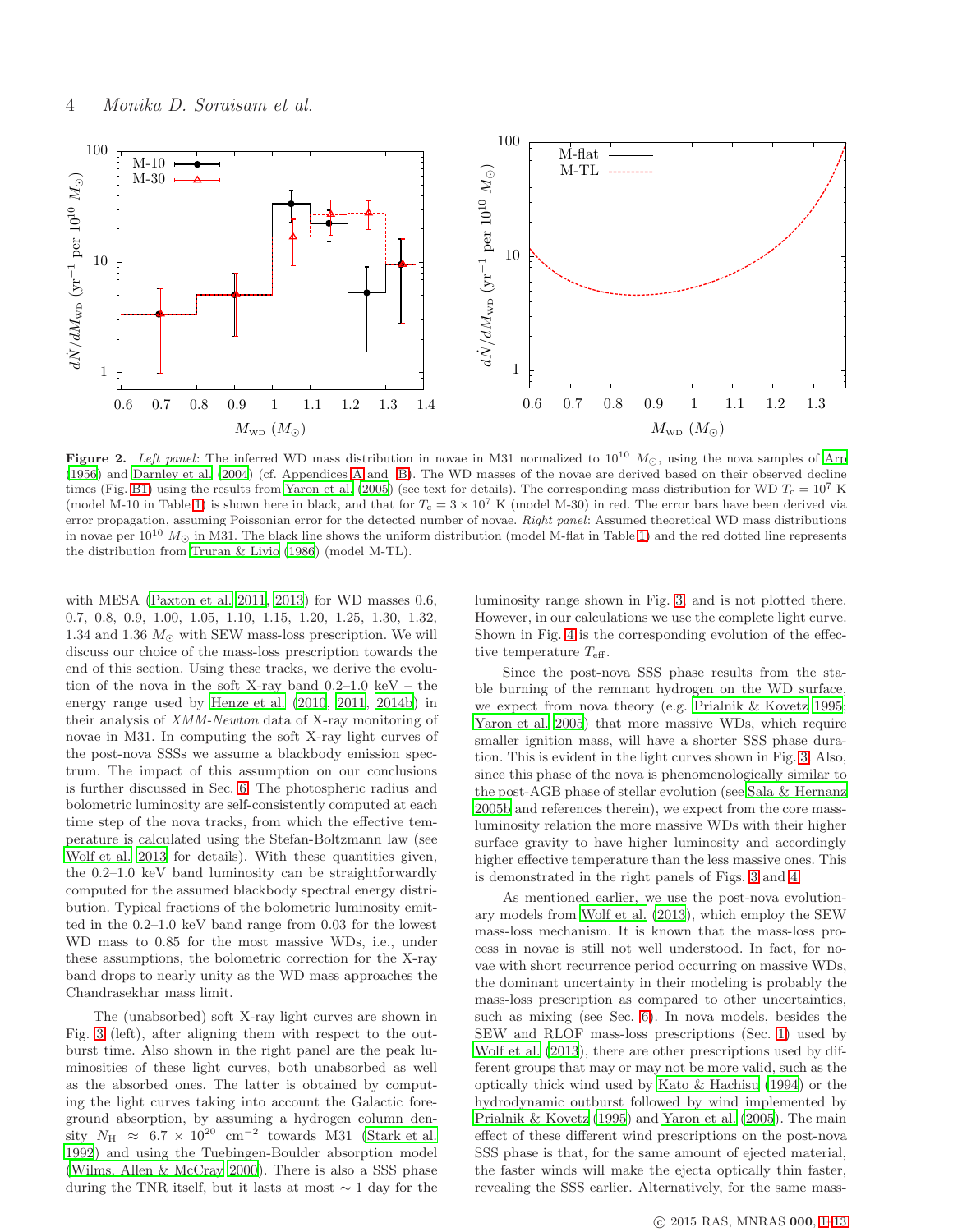

<span id="page-3-0"></span>Figure 2. Left panel: The inferred WD mass distribution in novae in M31 normalized to  $10^{10}$   $M_{\odot}$ , using the nova samples of [Arp](#page-10-13) [\(1956](#page-10-13)) and [Darnley et al. \(2004](#page-10-14)) (cf. Appendices [A](#page-11-16) and [B\)](#page-12-1). The WD masses of the novae are derived based on their observed decline times (Fig. [B1\)](#page-12-0) using the results from [Yaron et al. \(2005\)](#page-11-12) (see text for details). The corresponding mass distribution for WD  $T_c = 10^7$  K (model M-10 in Table [1\)](#page-2-2) is shown here in black, and that for  $T_c = 3 \times 10^7$  K (model M-30) in red. The error bars have been derived via error propagation, assuming Poissonian error for the detected number of novae. Right panel: Assumed theoretical WD mass distributions in novae per  $10^{10}$   $M_{\odot}$  in M31. The black line shows the uniform distribution (model M-flat in Table [1\)](#page-2-2) and the red dotted line represents the distribution from [Truran & Livio \(1986](#page-11-15)) (model M-TL).

with MESA [\(Paxton et al. 2011,](#page-10-6) [2013](#page-10-7)) for WD masses 0.6, 0.7, 0.8, 0.9, 1.00, 1.05, 1.10, 1.15, 1.20, 1.25, 1.30, 1.32, 1.34 and 1.36  $M_{\odot}$  with SEW mass-loss prescription. We will discuss our choice of the mass-loss prescription towards the end of this section. Using these tracks, we derive the evolution of the nova in the soft X-ray band  $0.2-1.0 \text{ keV}$  – the energy range used by [Henze et al. \(2010,](#page-10-10) [2011](#page-10-8), [2014b](#page-10-11)) in their analysis of XMM-Newton data of X-ray monitoring of novae in M31. In computing the soft X-ray light curves of the post-nova SSSs we assume a blackbody emission spectrum. The impact of this assumption on our conclusions is further discussed in Sec. [6.](#page-8-0) The photospheric radius and bolometric luminosity are self-consistently computed at each time step of the nova tracks, from which the effective temperature is calculated using the Stefan-Boltzmann law (see [Wolf et al. 2013](#page-11-2) for details). With these quantities given, the 0.2–1.0 keV band luminosity can be straightforwardly computed for the assumed blackbody spectral energy distribution. Typical fractions of the bolometric luminosity emitted in the 0.2–1.0 keV band range from 0.03 for the lowest WD mass to 0.85 for the most massive WDs, i.e., under these assumptions, the bolometric correction for the X-ray band drops to nearly unity as the WD mass approaches the Chandrasekhar mass limit.

The (unabsorbed) soft X-ray light curves are shown in Fig. [3](#page-4-1) (left), after aligning them with respect to the outburst time. Also shown in the right panel are the peak luminosities of these light curves, both unabsorbed as well as the absorbed ones. The latter is obtained by computing the light curves taking into account the Galactic foreground absorption, by assuming a hydrogen column density  $N_{\rm H} \approx 6.7 \times 10^{20} \text{ cm}^{-2}$  towards M31 [\(Stark et al.](#page-11-18) [1992](#page-11-18)) and using the Tuebingen-Boulder absorption model [\(Wilms, Allen & McCray 2000\)](#page-11-19). There is also a SSS phase during the TNR itself, but it lasts at most ∼ 1 day for the luminosity range shown in Fig. [3,](#page-4-1) and is not plotted there. However, in our calculations we use the complete light curve. Shown in Fig. [4](#page-4-2) is the corresponding evolution of the effective temperature  $T_{\text{eff}}$ .

Since the post-nova SSS phase results from the stable burning of the remnant hydrogen on the WD surface, we expect from nova theory (e.g. [Prialnik & Kovetz 1995](#page-11-7); [Yaron et al. 2005](#page-11-12)) that more massive WDs, which require smaller ignition mass, will have a shorter SSS phase duration. This is evident in the light curves shown in Fig. [3.](#page-4-1) Also, since this phase of the nova is phenomenologically similar to the post-AGB phase of stellar evolution (see [Sala & Hernanz](#page-11-1) [2005b](#page-11-1) and references therein), we expect from the core massluminosity relation the more massive WDs with their higher surface gravity to have higher luminosity and accordingly higher effective temperature than the less massive ones. This is demonstrated in the right panels of Figs. [3](#page-4-1) and [4.](#page-4-2)

As mentioned earlier, we use the post-nova evolutionary models from [Wolf et al. \(2013\)](#page-11-2), which employ the SEW mass-loss mechanism. It is known that the mass-loss process in novae is still not well understood. In fact, for novae with short recurrence period occurring on massive WDs, the dominant uncertainty in their modeling is probably the mass-loss prescription as compared to other uncertainties, such as mixing (see Sec. [6\)](#page-8-0). In nova models, besides the SEW and RLOF mass-loss prescriptions (Sec. [1\)](#page-0-0) used by [Wolf et al. \(2013](#page-11-2)), there are other prescriptions used by different groups that may or may not be more valid, such as the optically thick wind used by [Kato & Hachisu \(1994](#page-10-15)) or the hydrodynamic outburst followed by wind implemented by [Prialnik & Kovetz \(1995\)](#page-11-7) and [Yaron et al. \(2005\)](#page-11-12). The main effect of these different wind prescriptions on the post-nova SSS phase is that, for the same amount of ejected material, the faster winds will make the ejecta optically thin faster, revealing the SSS earlier. Alternatively, for the same mass-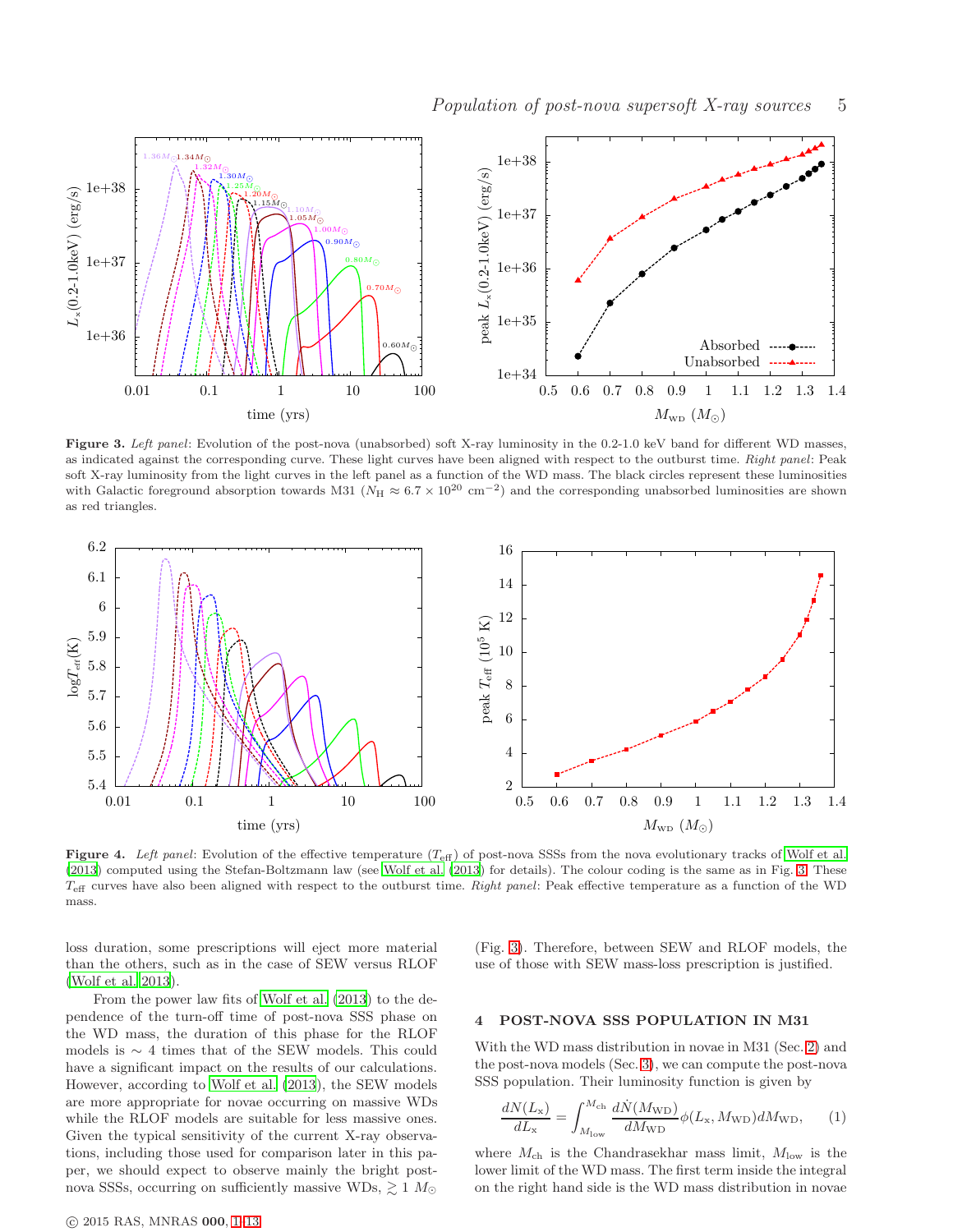

<span id="page-4-1"></span>Figure 3. Left panel: Evolution of the post-nova (unabsorbed) soft X-ray luminosity in the 0.2-1.0 keV band for different WD masses, as indicated against the corresponding curve. These light curves have been aligned with respect to the outburst time. Right panel: Peak soft X-ray luminosity from the light curves in the left panel as a function of the WD mass. The black circles represent these luminosities with Galactic foreground absorption towards M31 ( $N_H \approx 6.7 \times 10^{20}$  cm<sup>-2</sup>) and the corresponding unabsorbed luminosities are shown as red triangles.



<span id="page-4-2"></span>Figure 4. Left panel: Evolution of the effective temperature  $(T_{\text{eff}})$  of post-nova SSSs from the nova evolutionary tracks of Wolf [et al.](#page-11-2) [\(2013](#page-11-2)) computed using the Stefan-Boltzmann law (see [Wolf et](#page-11-2) al. [\(2013](#page-11-2)) for details). The colour coding is the same as in Fig. [3.](#page-4-1) These  $T_{\text{eff}}$  curves have also been aligned with respect to the outburst time. Right panel: Peak effective temperature as a function of the WD mass.

loss duration, some prescriptions will eject more material than the others, such as in the case of SEW versus RLOF [\(Wolf et al. 2013](#page-11-2)).

From the power law fits of [Wolf et al. \(2013](#page-11-2)) to the dependence of the turn-off time of post-nova SSS phase on the WD mass, the duration of this phase for the RLOF models is  $\sim$  4 times that of the SEW models. This could have a significant impact on the results of our calculations. However, according to [Wolf et al. \(2013](#page-11-2)), the SEW models are more appropriate for novae occurring on massive WDs while the RLOF models are suitable for less massive ones. Given the typical sensitivity of the current X-ray observations, including those used for comparison later in this paper, we should expect to observe mainly the bright postnova SSSs, occurring on sufficiently massive WDs,  $\gtrsim 1$   $M_{\odot}$  (Fig. [3\)](#page-4-1). Therefore, between SEW and RLOF models, the use of those with SEW mass-loss prescription is justified.

#### <span id="page-4-0"></span>4 POST-NOVA SSS POPULATION IN M31

With the WD mass distribution in novae in M31 (Sec. [2\)](#page-1-0) and the post-nova models (Sec. [3\)](#page-2-0), we can compute the post-nova SSS population. Their luminosity function is given by

<span id="page-4-3"></span>
$$
\frac{dN(L_{\rm x})}{dL_{\rm x}} = \int_{M_{\rm low}}^{M_{\rm ch}} \frac{dN(M_{\rm WD})}{dM_{\rm WD}} \phi(L_{\rm x}, M_{\rm WD}) dM_{\rm WD}, \qquad (1)
$$

where  $M_{\text{ch}}$  is the Chandrasekhar mass limit,  $M_{\text{low}}$  is the lower limit of the WD mass. The first term inside the integral on the right hand side is the WD mass distribution in novae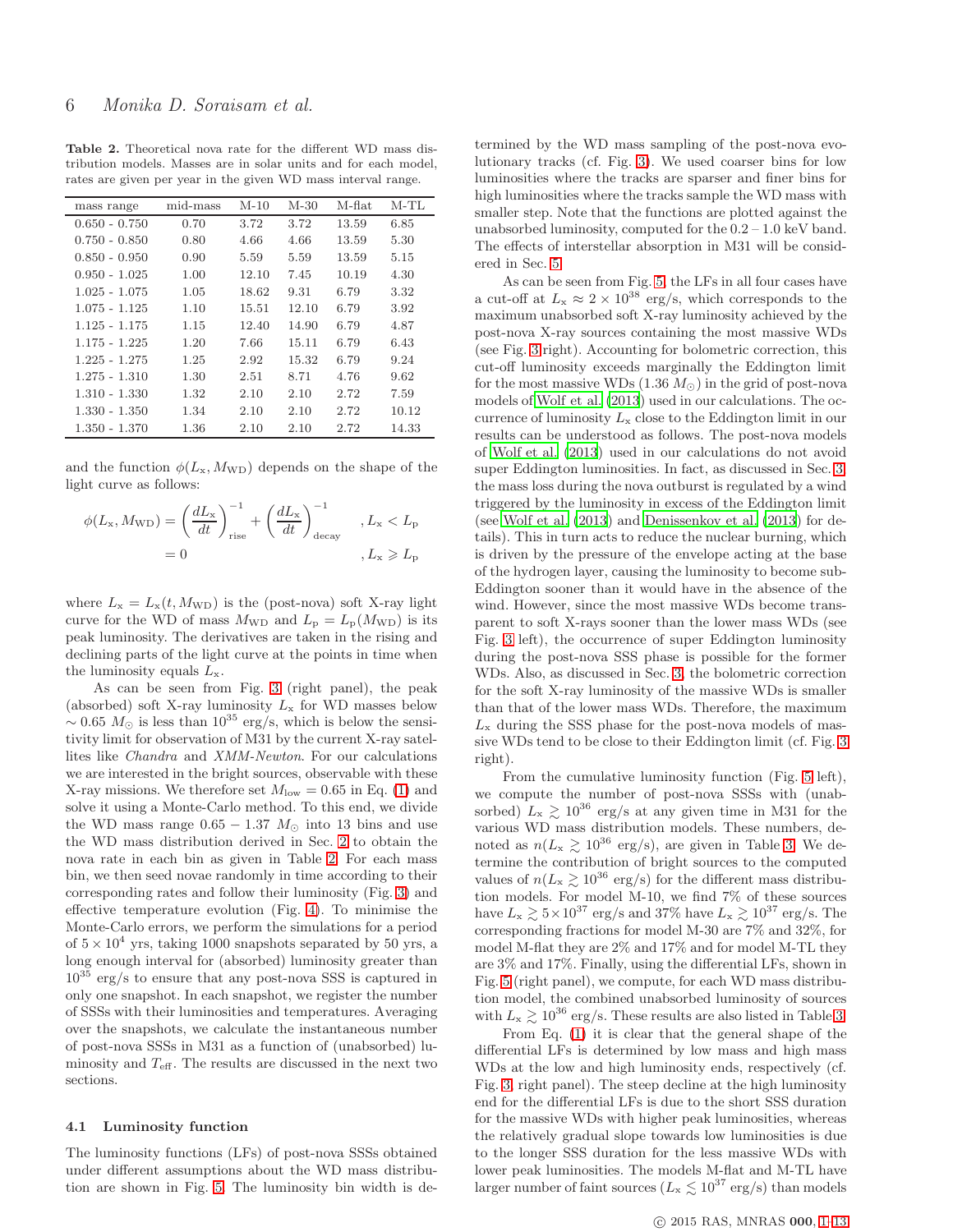<span id="page-5-0"></span>Table 2. Theoretical nova rate for the different WD mass distribution models. Masses are in solar units and for each model, rates are given per year in the given WD mass interval range.

| mass range      | mid-mass | $M-10$ | $M-30$ | M-flat | $M-TL$ |
|-----------------|----------|--------|--------|--------|--------|
| $0.650 - 0.750$ | 0.70     | 3.72   | 3.72   | 13.59  | 6.85   |
| $0.750 - 0.850$ | 0.80     | 4.66   | 4.66   | 13.59  | 5.30   |
| $0.850 - 0.950$ | 0.90     | 5.59   | 5.59   | 13.59  | 5.15   |
| $0.950 - 1.025$ | 1.00     | 12.10  | 7.45   | 10.19  | 4.30   |
| $1.025 - 1.075$ | 1.05     | 18.62  | 9.31   | 6.79   | 3.32   |
| $1.075 - 1.125$ | 1.10     | 15.51  | 12.10  | 6.79   | 3.92   |
| $1.125 - 1.175$ | 1.15     | 12.40  | 14.90  | 6.79   | 4.87   |
| $1.175 - 1.225$ | 1.20     | 7.66   | 15.11  | 6.79   | 6.43   |
| $1.225 - 1.275$ | 1.25     | 2.92   | 15.32  | 6.79   | 9.24   |
| $1.275 - 1.310$ | 1.30     | 2.51   | 8.71   | 4.76   | 9.62   |
| 1.310 - 1.330   | 1.32     | 2.10   | 2.10   | 2.72   | 7.59   |
| $1.330 - 1.350$ | 1.34     | 2.10   | 2.10   | 2.72   | 10.12  |
| 1.350 - 1.370   | 1.36     | 2.10   | 2.10   | 2.72   | 14.33  |

and the function  $\phi(L_{\rm x}, M_{\rm WD})$  depends on the shape of the light curve as follows:

$$
\phi(L_{\rm x}, M_{\rm WD}) = \left(\frac{dL_{\rm x}}{dt}\right)_{\rm rise}^{-1} + \left(\frac{dL_{\rm x}}{dt}\right)_{\rm decay}^{-1}, L_{\rm x} < L_{\rm p}
$$

$$
= 0, \quad L_{\rm x} \geqslant L_{\rm p}
$$

where  $L_x = L_x(t, M_{WD})$  is the (post-nova) soft X-ray light curve for the WD of mass  $M_{\text{WD}}$  and  $L_{\text{p}} = L_{\text{p}}(M_{\text{WD}})$  is its peak luminosity. The derivatives are taken in the rising and declining parts of the light curve at the points in time when the luminosity equals  $L_{\rm x}$ .

As can be seen from Fig. [3](#page-4-1) (right panel), the peak (absorbed) soft X-ray luminosity  $L<sub>x</sub>$  for WD masses below  $\sim 0.65$  M<sub>☉</sub> is less than  $10^{35}$  erg/s, which is below the sensitivity limit for observation of M31 by the current X-ray satellites like Chandra and XMM-Newton. For our calculations we are interested in the bright sources, observable with these X-ray missions. We therefore set  $M_{\text{low}} = 0.65$  in Eq. [\(1\)](#page-4-3) and solve it using a Monte-Carlo method. To this end, we divide the WD mass range  $0.65 - 1.37 M_{\odot}$  into 13 bins and use the WD mass distribution derived in Sec. [2](#page-1-0) to obtain the nova rate in each bin as given in Table [2.](#page-5-0) For each mass bin, we then seed novae randomly in time according to their corresponding rates and follow their luminosity (Fig. [3\)](#page-4-1) and effective temperature evolution (Fig. [4\)](#page-4-2). To minimise the Monte-Carlo errors, we perform the simulations for a period of  $5 \times 10^4$  yrs, taking 1000 snapshots separated by 50 yrs, a long enough interval for (absorbed) luminosity greater than  $10^{35}$  erg/s to ensure that any post-nova SSS is captured in only one snapshot. In each snapshot, we register the number of SSSs with their luminosities and temperatures. Averaging over the snapshots, we calculate the instantaneous number of post-nova SSSs in M31 as a function of (unabsorbed) luminosity and  $T_{\text{eff}}$ . The results are discussed in the next two sections.

## 4.1 Luminosity function

The luminosity functions (LFs) of post-nova SSSs obtained under different assumptions about the WD mass distribution are shown in Fig. [5.](#page-6-0) The luminosity bin width is de-

termined by the WD mass sampling of the post-nova evolutionary tracks (cf. Fig. [3\)](#page-4-1). We used coarser bins for low luminosities where the tracks are sparser and finer bins for high luminosities where the tracks sample the WD mass with smaller step. Note that the functions are plotted against the unabsorbed luminosity, computed for the  $0.2 - 1.0$  keV band. The effects of interstellar absorption in M31 will be considered in Sec. [5.](#page-7-0)

As can be seen from Fig. [5,](#page-6-0) the LFs in all four cases have a cut-off at  $L_x \approx 2 \times 10^{38}$  erg/s, which corresponds to the maximum unabsorbed soft X-ray luminosity achieved by the post-nova X-ray sources containing the most massive WDs (see Fig. [3](#page-4-1) right). Accounting for bolometric correction, this cut-off luminosity exceeds marginally the Eddington limit for the most massive WDs  $(1.36 M_{\odot})$  in the grid of post-nova models of [Wolf et al. \(2013](#page-11-2)) used in our calculations. The occurrence of luminosity  $L_x$  close to the Eddington limit in our results can be understood as follows. The post-nova models of [Wolf et al. \(2013](#page-11-2)) used in our calculations do not avoid super Eddington luminosities. In fact, as discussed in Sec. [3,](#page-2-0) the mass loss during the nova outburst is regulated by a wind triggered by the luminosity in excess of the Eddington limit (see [Wolf et al. \(2013](#page-11-2)) and [Denissenkov et al. \(2013\)](#page-10-16) for details). This in turn acts to reduce the nuclear burning, which is driven by the pressure of the envelope acting at the base of the hydrogen layer, causing the luminosity to become sub-Eddington sooner than it would have in the absence of the wind. However, since the most massive WDs become transparent to soft X-rays sooner than the lower mass WDs (see Fig. [3](#page-4-1) left), the occurrence of super Eddington luminosity during the post-nova SSS phase is possible for the former WDs. Also, as discussed in Sec. [3,](#page-2-0) the bolometric correction for the soft X-ray luminosity of the massive WDs is smaller than that of the lower mass WDs. Therefore, the maximum  $L_x$  during the SSS phase for the post-nova models of massive WDs tend to be close to their Eddington limit (cf. Fig. [3](#page-4-1) right).

From the cumulative luminosity function (Fig. [5](#page-6-0) left), we compute the number of post-nova SSSs with (unabsorbed)  $L_x \gtrsim 10^{36}$  erg/s at any given time in M31 for the various WD mass distribution models. These numbers, denoted as  $n(L_{\rm x} \gtrsim 10^{36} \text{ erg/s})$ , are given in Table [3.](#page-8-1) We determine the contribution of bright sources to the computed values of  $n(L_{\rm x} \gtrsim 10^{36}$  erg/s) for the different mass distribution models. For model M-10, we find 7% of these sources have  $L_x \gtrsim 5 \times 10^{37}$  erg/s and 37% have  $L_x \gtrsim 10^{37}$  erg/s. The corresponding fractions for model M-30 are 7% and 32%, for model M-flat they are 2% and 17% and for model M-TL they are 3% and 17%. Finally, using the differential LFs, shown in Fig. [5](#page-6-0) (right panel), we compute, for each WD mass distribution model, the combined unabsorbed luminosity of sources with  $L_{\rm x} \gtrsim 10^{36}$  erg/s. These results are also listed in Table [3.](#page-8-1)

From Eq. [\(1\)](#page-4-3) it is clear that the general shape of the differential LFs is determined by low mass and high mass WDs at the low and high luminosity ends, respectively (cf. Fig. [3,](#page-4-1) right panel). The steep decline at the high luminosity end for the differential LFs is due to the short SSS duration for the massive WDs with higher peak luminosities, whereas the relatively gradual slope towards low luminosities is due to the longer SSS duration for the less massive WDs with lower peak luminosities. The models M-flat and M-TL have larger number of faint sources ( $L_x \lesssim 10^{37} \text{ erg/s}$ ) than models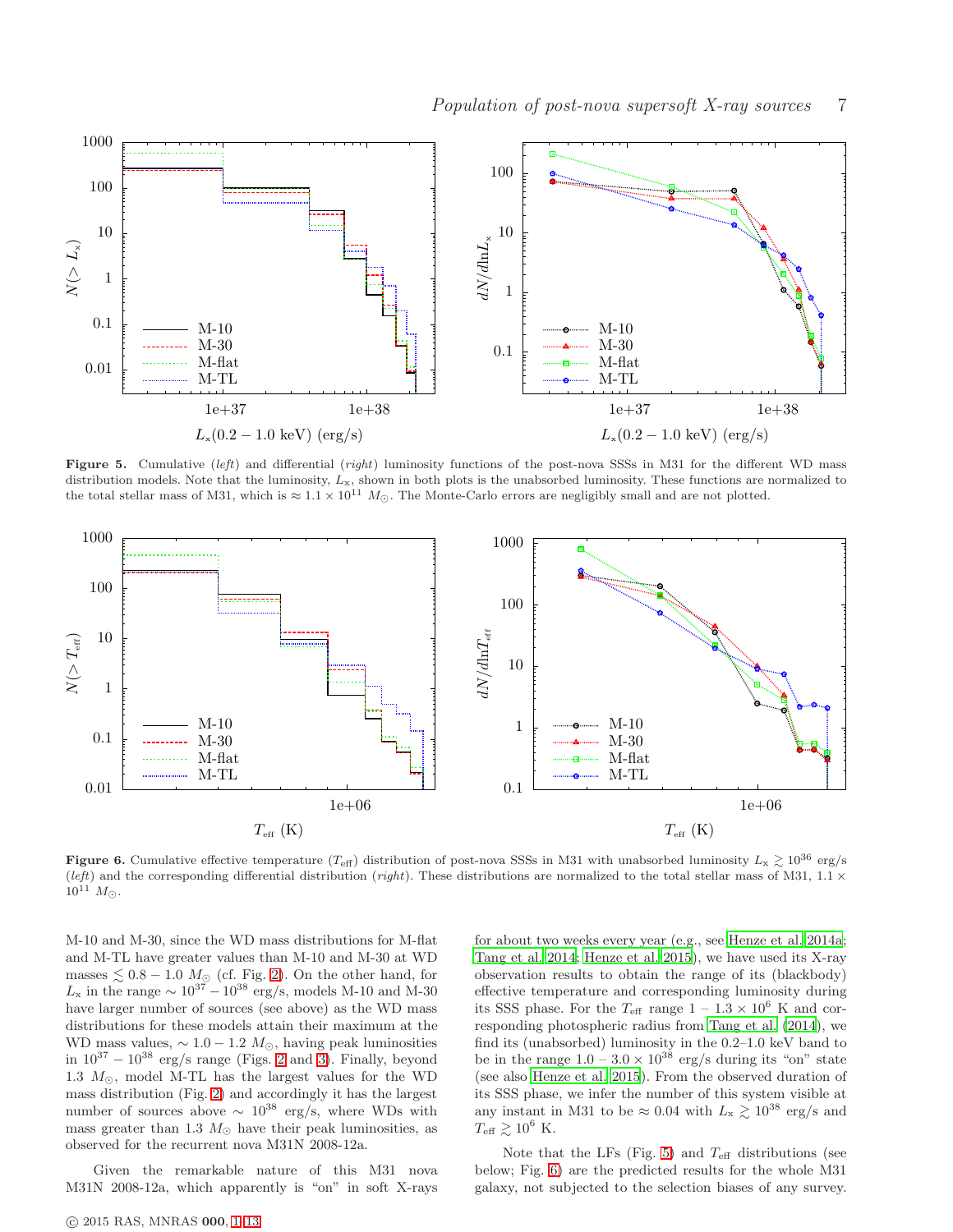

<span id="page-6-0"></span>Figure 5. Cumulative (left) and differential (right) luminosity functions of the post-nova SSSs in M31 for the different WD mass distribution models. Note that the luminosity,  $L_x$ , shown in both plots is the unabsorbed luminosity. These functions are normalized to the total stellar mass of M31, which is  $\approx 1.1 \times 10^{11} M_{\odot}$ . The Monte-Carlo errors are negligibly small and are not plotted.



<span id="page-6-1"></span>Figure 6. Cumulative effective temperature (T<sub>eff</sub>) distribution of post-nova SSSs in M31 with unabsorbed luminosity  $L_x \gtrsim 10^{36}$  erg/s (left) and the corresponding differential distribution (right). These distributions are normalized to the total stellar mass of M31, 1.1  $\times$  $10^{11}$   $M_{\odot}$ .

M-10 and M-30, since the WD mass distributions for M-flat and M-TL have greater values than M-10 and M-30 at WD masses  $\lesssim 0.8 - 1.0$   $M_{\odot}$  (cf. Fig. [2\)](#page-3-0). On the other hand, for  $L_x$  in the range  $\sim 10^{37} - 10^{38}$  erg/s, models M-10 and M-30 have larger number of sources (see above) as the WD mass distributions for these models attain their maximum at the WD mass values,  $\sim 1.0 - 1.2 M_{\odot}$ , having peak luminosities in  $10^{37} - 10^{38}$  erg/s range (Figs. [2](#page-3-0) and [3\)](#page-4-1). Finally, beyond 1.3  $M_{\odot}$ , model M-TL has the largest values for the WD mass distribution (Fig. [2\)](#page-3-0) and accordingly it has the largest number of sources above  $\sim 10^{38}$  erg/s, where WDs with mass greater than 1.3  $M_{\odot}$  have their peak luminosities, as observed for the recurrent nova M31N 2008-12a.

Given the remarkable nature of this M31 nova M31N 2008-12a, which apparently is "on" in soft X-rays for about two weeks every year (e.g., see [Henze et al. 2014a](#page-10-17); [Tang et al. 2014](#page-11-3); [Henze et al. 2015](#page-10-3)), we have used its X-ray observation results to obtain the range of its (blackbody) effective temperature and corresponding luminosity during its SSS phase. For the  $T_{\text{eff}}$  range  $1 - 1.3 \times 10^6$  K and corresponding photospheric radius from [Tang et al. \(2014](#page-11-3)), we find its (unabsorbed) luminosity in the 0.2–1.0 keV band to be in the range  $1.0 - 3.0 \times 10^{38}$  erg/s during its "on" state (see also [Henze et al. 2015](#page-10-3)). From the observed duration of its SSS phase, we infer the number of this system visible at any instant in M31 to be  $\approx 0.04$  with  $L_{\rm x} \gtrsim 10^{38}$  erg/s and  $T_{\text{eff}} \gtrsim 10^6$  K.

Note that the LFs (Fig. [5\)](#page-6-0) and  $T_{\text{eff}}$  distributions (see below; Fig. [6\)](#page-6-1) are the predicted results for the whole M31 galaxy, not subjected to the selection biases of any survey.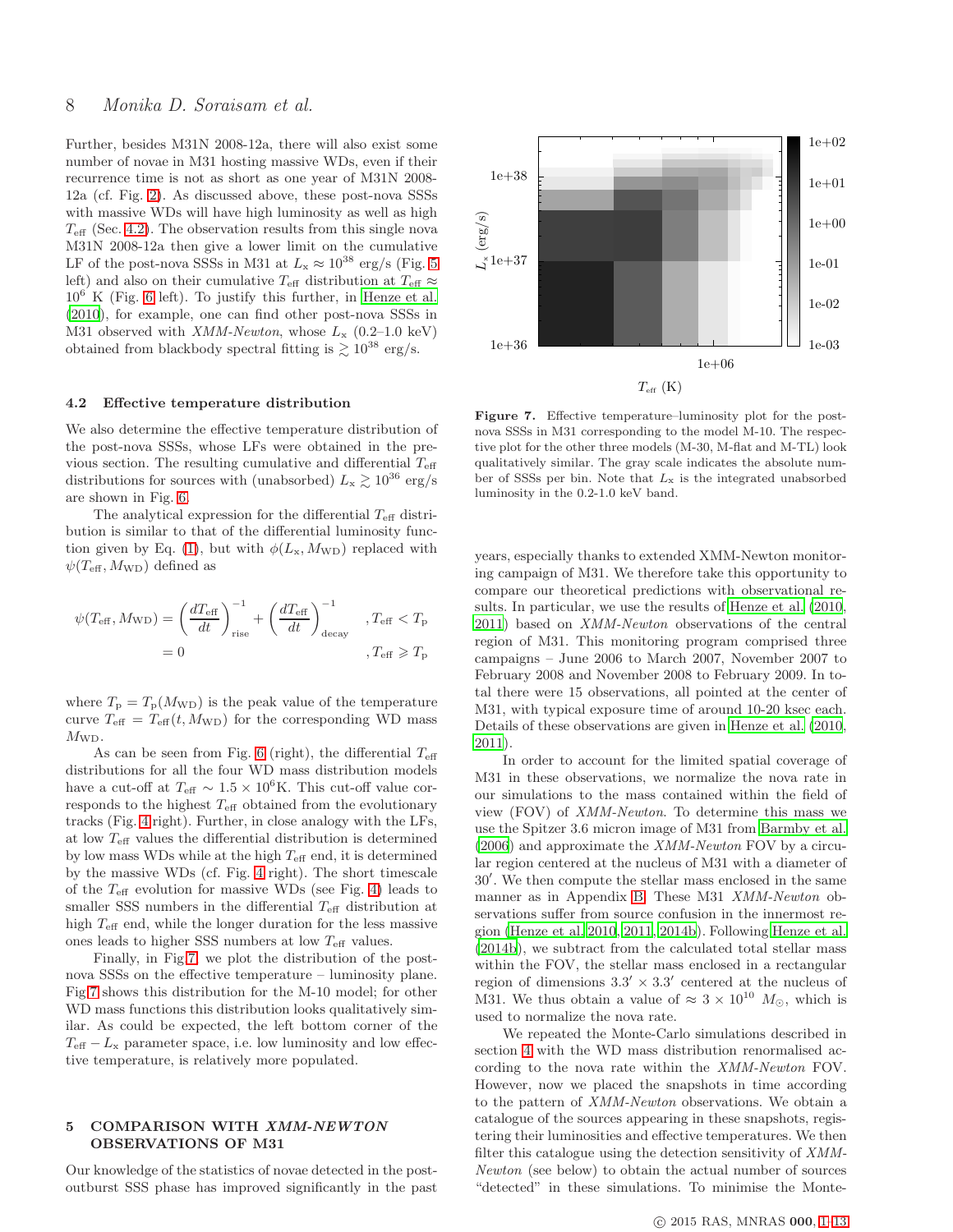Further, besides M31N 2008-12a, there will also exist some number of novae in M31 hosting massive WDs, even if their recurrence time is not as short as one year of M31N 2008- 12a (cf. Fig. [2\)](#page-3-0). As discussed above, these post-nova SSSs with massive WDs will have high luminosity as well as high  $T_{\text{eff}}$  (Sec. [4.2\)](#page-7-1). The observation results from this single nova M31N 2008-12a then give a lower limit on the cumulative LF of the post-nova SSSs in M31 at  $L_{\rm x} \approx 10^{38}$  erg/s (Fig. [5](#page-6-0) left) and also on their cumulative  $T_{\text{eff}}$  distribution at  $T_{\text{eff}} \approx$  $10^6$  K (Fig. [6](#page-6-1) left). To justify this further, in [Henze et al.](#page-10-10) [\(2010](#page-10-10)), for example, one can find other post-nova SSSs in M31 observed with  $XMM-Newton$ , whose  $L_x$  (0.2–1.0 keV) obtained from blackbody spectral fitting is  $\gtrsim 10^{38}$  erg/s.

#### <span id="page-7-1"></span>4.2 Effective temperature distribution

We also determine the effective temperature distribution of the post-nova SSSs, whose LFs were obtained in the previous section. The resulting cumulative and differential  $T_{\text{eff}}$ distributions for sources with (unabsorbed)  $L_{\rm x} \gtrsim 10^{36} \text{ erg/s}$ are shown in Fig. [6.](#page-6-1)

The analytical expression for the differential  $T_{\text{eff}}$  distribution is similar to that of the differential luminosity func-tion given by Eq. [\(1\)](#page-4-3), but with  $\phi(L_{\rm x}, M_{\rm WD})$  replaced with  $\psi(T_{\rm eff}, M_{\rm WD})$  defined as

$$
\psi(T_{\text{eff}}, M_{\text{WD}}) = \left(\frac{dT_{\text{eff}}}{dt}\right)^{-1}_{\text{rise}} + \left(\frac{dT_{\text{eff}}}{dt}\right)^{-1}_{\text{decay}} \quad , T_{\text{eff}} < T_{\text{p}}
$$

$$
= 0 \qquad , T_{\text{eff}} \ge T_{\text{p}}
$$

where  $T_{\rm p} = T_{\rm p}(M_{\rm WD})$  is the peak value of the temperature curve  $T_{\text{eff}} = T_{\text{eff}}(t, M_{\text{WD}})$  for the corresponding WD mass  $M_{\text{WD}}$ .

As can be seen from Fig. [6](#page-6-1) (right), the differential  $T_{\text{eff}}$ distributions for all the four WD mass distribution models have a cut-off at  $T_{\text{eff}} \sim 1.5 \times 10^6 \text{K}$ . This cut-off value corresponds to the highest  $T_{\text{eff}}$  obtained from the evolutionary tracks (Fig. [4](#page-4-2) right). Further, in close analogy with the LFs, at low  $T_{\rm eff}$  values the differential distribution is determined by low mass WDs while at the high  $T_{\text{eff}}$  end, it is determined by the massive WDs (cf. Fig. [4](#page-4-2) right). The short timescale of the  $T_{\text{eff}}$  evolution for massive WDs (see Fig. [4\)](#page-4-2) leads to smaller SSS numbers in the differential  $T_{\text{eff}}$  distribution at high  $T_{\text{eff}}$  end, while the longer duration for the less massive ones leads to higher SSS numbers at low  $T_{\text{eff}}$  values.

Finally, in Fig[.7,](#page-7-2) we plot the distribution of the postnova SSSs on the effective temperature – luminosity plane. Fig[.7](#page-7-2) shows this distribution for the M-10 model; for other WD mass functions this distribution looks qualitatively similar. As could be expected, the left bottom corner of the  $T_{\text{eff}} - L_{\text{x}}$  parameter space, i.e. low luminosity and low effective temperature, is relatively more populated.

# <span id="page-7-0"></span>5 COMPARISON WITH XMM-NEWTON OBSERVATIONS OF M31

Our knowledge of the statistics of novae detected in the postoutburst SSS phase has improved significantly in the past



<span id="page-7-2"></span>Figure 7. Effective temperature–luminosity plot for the postnova SSSs in M31 corresponding to the model M-10. The respective plot for the other three models (M-30, M-flat and M-TL) look qualitatively similar. The gray scale indicates the absolute number of SSSs per bin. Note that  $L_x$  is the integrated unabsorbed luminosity in the 0.2-1.0 keV band.

years, especially thanks to extended XMM-Newton monitoring campaign of M31. We therefore take this opportunity to compare our theoretical predictions with observational results. In particular, we use the results of [Henze et al. \(2010](#page-10-10), [2011](#page-10-8)) based on XMM-Newton observations of the central region of M31. This monitoring program comprised three campaigns – June 2006 to March 2007, November 2007 to February 2008 and November 2008 to February 2009. In total there were 15 observations, all pointed at the center of M31, with typical exposure time of around 10-20 ksec each. Details of these observations are given in [Henze et al. \(2010](#page-10-10), [2011](#page-10-8)).

In order to account for the limited spatial coverage of M31 in these observations, we normalize the nova rate in our simulations to the mass contained within the field of view (FOV) of XMM-Newton. To determine this mass we use the Spitzer 3.6 micron image of M31 from [Barmby et al.](#page-10-18)  $(2006)$  $(2006)$  and approximate the XMM-Newton FOV by a circular region centered at the nucleus of M31 with a diameter of 30′ . We then compute the stellar mass enclosed in the same manner as in Appendix [B.](#page-12-1) These M31 XMM-Newton observations suffer from source confusion in the innermost region [\(Henze et al. 2010](#page-10-10), [2011](#page-10-8), [2014b](#page-10-11)). Following [Henze et al.](#page-10-11) [\(2014b](#page-10-11)), we subtract from the calculated total stellar mass within the FOV, the stellar mass enclosed in a rectangular region of dimensions  $3.3' \times 3.3'$  centered at the nucleus of M31. We thus obtain a value of  $\approx 3 \times 10^{10}$   $M_{\odot}$ , which is used to normalize the nova rate.

We repeated the Monte-Carlo simulations described in section [4](#page-4-0) with the WD mass distribution renormalised according to the nova rate within the XMM-Newton FOV. However, now we placed the snapshots in time according to the pattern of XMM-Newton observations. We obtain a catalogue of the sources appearing in these snapshots, registering their luminosities and effective temperatures. We then filter this catalogue using the detection sensitivity of XMM-Newton (see below) to obtain the actual number of sources "detected" in these simulations. To minimise the Monte-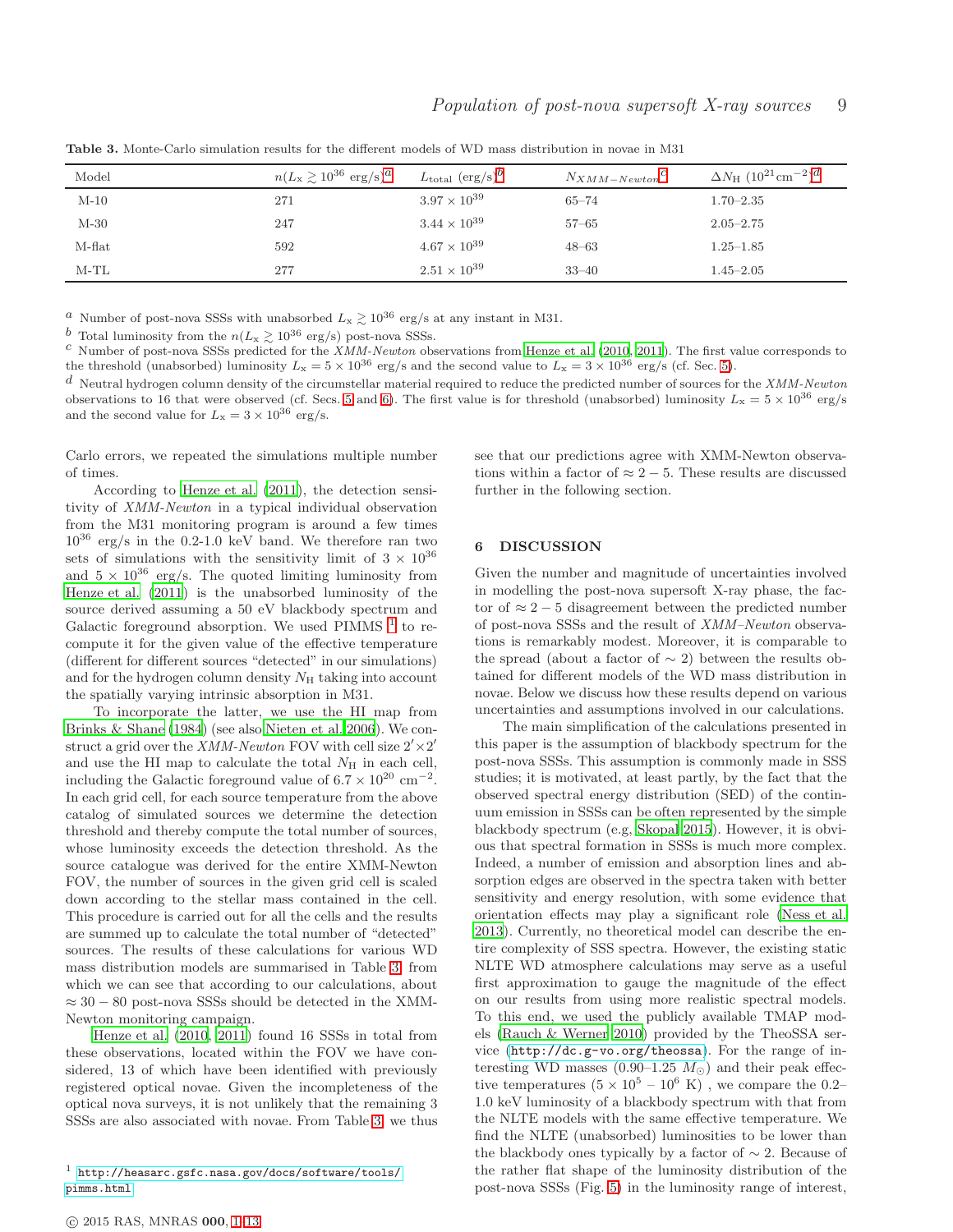| Model  | $n(L_{\rm x} \ge 10^{36} \text{ erg/s})^{\alpha}$ | $L_{\text{total}}$ (erg/s) <sup>b</sup> | $N_{XMM-Newton}$ <sup>C</sup> | $\Delta N_{\rm H}$ $(10^{21} \rm cm^{-2})^d$ |
|--------|---------------------------------------------------|-----------------------------------------|-------------------------------|----------------------------------------------|
| $M-10$ | 271                                               | $3.97 \times 10^{39}$                   | $65 - 74$                     | $1.70 - 2.35$                                |
| $M-30$ | 247                                               | $3.44 \times 10^{39}$                   | $57 - 65$                     | $2.05 - 2.75$                                |
| M-flat | 592                                               | $4.67 \times 10^{39}$                   | $48 - 63$                     | $1.25 - 1.85$                                |
| $M-TL$ | 277                                               | $2.51 \times 10^{39}$                   | $33 - 40$                     | $1.45 - 2.05$                                |

<span id="page-8-1"></span>Table 3. Monte-Carlo simulation results for the different models of WD mass distribution in novae in M31

<sup>a</sup> Number of post-nova SSSs with unabsorbed  $L_x \gtrsim 10^{36}$  erg/s at any instant in M31.

<sup>b</sup> Total luminosity from the  $n(L_{\rm x} \gtrsim 10^{36} \text{ erg/s})$  post-nova SSSs.

c Number of post-nova SSSs predicted for the XMM-Newton observations from [Henze et al. \(2010](#page-10-10), [2011](#page-10-8)). The first value corresponds to the threshold (unabsorbed) luminosity  $L_x = 5 \times 10^{36}$  erg/s and the second value to  $L_x = 3 \times 10^{36}$  erg/s (cf. Sec. [5\)](#page-7-0).

 $d$  Neutral hydrogen column density of the circumstellar material required to reduce the predicted number of sources for the XMM-Newton observations to 16 that were observed (cf. Secs. [5](#page-7-0) and [6\)](#page-8-0). The first value is for threshold (unabsorbed) luminosity  $L_x = 5 \times 10^{36}$  erg/s and the second value for  $L_x = 3 \times 10^{36} \text{ erg/s}.$ 

Carlo errors, we repeated the simulations multiple number of times.

According to [Henze et al. \(2011](#page-10-8)), the detection sensitivity of XMM-Newton in a typical individual observation from the M31 monitoring program is around a few times  $10^{36}$  erg/s in the 0.2-1.0 keV band. We therefore ran two sets of simulations with the sensitivity limit of  $3 \times 10^{36}$ and  $5 \times 10^{36}$  erg/s. The quoted limiting luminosity from [Henze et al. \(2011](#page-10-8)) is the unabsorbed luminosity of the source derived assuming a 50 eV blackbody spectrum and Galactic foreground absorption. We used PIMMS  $<sup>1</sup>$  $<sup>1</sup>$  $<sup>1</sup>$  to re-</sup> compute it for the given value of the effective temperature (different for different sources "detected" in our simulations) and for the hydrogen column density  $N<sub>H</sub>$  taking into account the spatially varying intrinsic absorption in M31.

To incorporate the latter, we use the HI map from [Brinks & Shane \(1984\)](#page-10-19) (see also [Nieten et al. 2006](#page-10-20)). We construct a grid over the *XMM-Newton* FOV with cell size  $2' \times 2'$ and use the HI map to calculate the total  $N_{\rm H}$  in each cell, including the Galactic foreground value of  $6.7 \times 10^{20}$  cm<sup>-2</sup>. In each grid cell, for each source temperature from the above catalog of simulated sources we determine the detection threshold and thereby compute the total number of sources, whose luminosity exceeds the detection threshold. As the source catalogue was derived for the entire XMM-Newton FOV, the number of sources in the given grid cell is scaled down according to the stellar mass contained in the cell. This procedure is carried out for all the cells and the results are summed up to calculate the total number of "detected" sources. The results of these calculations for various WD mass distribution models are summarised in Table [3,](#page-8-1) from which we can see that according to our calculations, about  $\approx 30 - 80$  post-nova SSSs should be detected in the XMM-Newton monitoring campaign.

[Henze et al. \(2010,](#page-10-10) [2011](#page-10-8)) found 16 SSSs in total from these observations, located within the FOV we have considered, 13 of which have been identified with previously registered optical novae. Given the incompleteness of the optical nova surveys, it is not unlikely that the remaining 3 SSSs are also associated with novae. From Table [3,](#page-8-1) we thus

see that our predictions agree with XMM-Newton observations within a factor of  $\approx 2 - 5$ . These results are discussed further in the following section.

#### <span id="page-8-0"></span>6 DISCUSSION

Given the number and magnitude of uncertainties involved in modelling the post-nova supersoft X-ray phase, the factor of  $\approx 2-5$  disagreement between the predicted number of post-nova SSSs and the result of XMM–Newton observations is remarkably modest. Moreover, it is comparable to the spread (about a factor of  $\sim$  2) between the results obtained for different models of the WD mass distribution in novae. Below we discuss how these results depend on various uncertainties and assumptions involved in our calculations.

The main simplification of the calculations presented in this paper is the assumption of blackbody spectrum for the post-nova SSSs. This assumption is commonly made in SSS studies; it is motivated, at least partly, by the fact that the observed spectral energy distribution (SED) of the continuum emission in SSSs can be often represented by the simple blackbody spectrum (e.g, [Skopal 2015](#page-11-20)). However, it is obvious that spectral formation in SSSs is much more complex. Indeed, a number of emission and absorption lines and absorption edges are observed in the spectra taken with better sensitivity and energy resolution, with some evidence that orientation effects may play a significant role [\(Ness et al.](#page-10-21) [2013](#page-10-21)). Currently, no theoretical model can describe the entire complexity of SSS spectra. However, the existing static NLTE WD atmosphere calculations may serve as a useful first approximation to gauge the magnitude of the effect on our results from using more realistic spectral models. To this end, we used the publicly available TMAP models [\(Rauch & Werner 2010\)](#page-11-21) provided by the TheoSSA service (<http://dc.g-vo.org/theossa>). For the range of interesting WD masses (0.90–1.25  $M_{\odot}$ ) and their peak effective temperatures  $(5 \times 10^5 - 10^6 \text{ K})$ , we compare the 0.2-1.0 keV luminosity of a blackbody spectrum with that from the NLTE models with the same effective temperature. We find the NLTE (unabsorbed) luminosities to be lower than the blackbody ones typically by a factor of ∼ 2. Because of the rather flat shape of the luminosity distribution of the post-nova SSSs (Fig. [5\)](#page-6-0) in the luminosity range of interest,

<span id="page-8-2"></span> $^1$  [http://heasarc.gsfc.nasa.gov/docs/software/tools/](http://heasarc.gsfc.nasa.gov/docs/software/tools/pimms.html) [pimms.html](http://heasarc.gsfc.nasa.gov/docs/software/tools/pimms.html)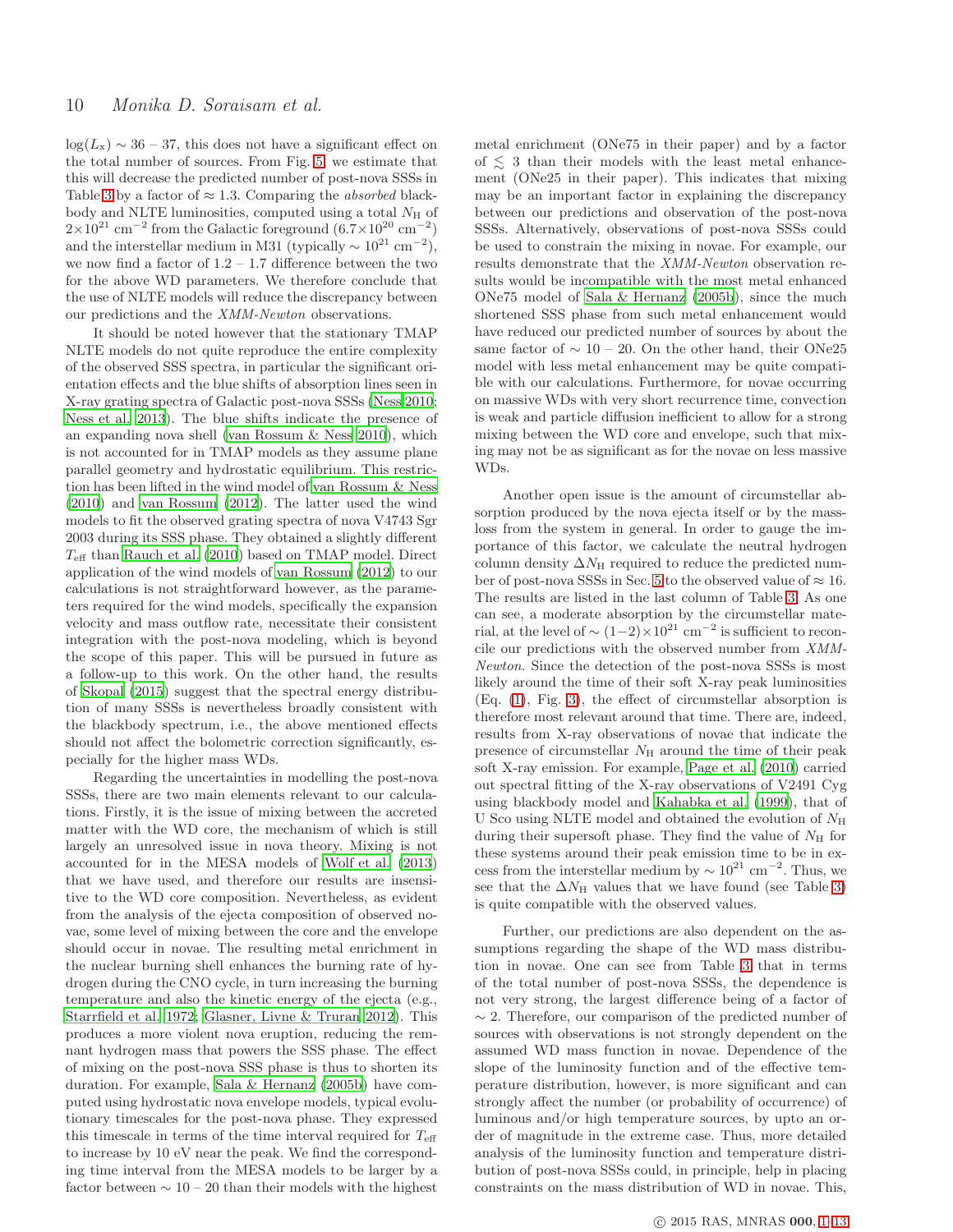$log(L_x) \sim 36 - 37$ , this does not have a significant effect on the total number of sources. From Fig. [5,](#page-6-0) we estimate that this will decrease the predicted number of post-nova SSSs in Table [3](#page-8-1) by a factor of  $\approx 1.3$ . Comparing the *absorbed* blackbody and NLTE luminosities, computed using a total  $N_{\rm H}$  of  $2\times10^{21}$  cm<sup>-2</sup> from the Galactic foreground  $(6.7\times10^{20}$  cm<sup>-2</sup>) and the interstellar medium in M31 (typically  $\sim 10^{21}$  cm<sup>-2</sup>), we now find a factor of  $1.2 - 1.7$  difference between the two for the above WD parameters. We therefore conclude that the use of NLTE models will reduce the discrepancy between our predictions and the XMM-Newton observations.

It should be noted however that the stationary TMAP NLTE models do not quite reproduce the entire complexity of the observed SSS spectra, in particular the significant orientation effects and the blue shifts of absorption lines seen in X-ray grating spectra of Galactic post-nova SSSs [\(Ness 2010;](#page-10-22) [Ness et al. 2013](#page-10-21)). The blue shifts indicate the presence of an expanding nova shell [\(van Rossum & Ness 2010](#page-11-22)), which is not accounted for in TMAP models as they assume plane parallel geometry and hydrostatic equilibrium. This restriction has been lifted in the wind model of [van Rossum & Ness](#page-11-22) [\(2010](#page-11-22)) and [van Rossum \(2012\)](#page-11-23). The latter used the wind models to fit the observed grating spectra of nova V4743 Sgr 2003 during its SSS phase. They obtained a slightly different  $T_{\text{eff}}$  than [Rauch et al. \(2010\)](#page-11-24) based on TMAP model. Direct application of the wind models of [van Rossum \(2012\)](#page-11-23) to our calculations is not straightforward however, as the parameters required for the wind models, specifically the expansion velocity and mass outflow rate, necessitate their consistent integration with the post-nova modeling, which is beyond the scope of this paper. This will be pursued in future as a follow-up to this work. On the other hand, the results of [Skopal \(2015](#page-11-20)) suggest that the spectral energy distribution of many SSSs is nevertheless broadly consistent with the blackbody spectrum, i.e., the above mentioned effects should not affect the bolometric correction significantly, especially for the higher mass WDs.

Regarding the uncertainties in modelling the post-nova SSSs, there are two main elements relevant to our calculations. Firstly, it is the issue of mixing between the accreted matter with the WD core, the mechanism of which is still largely an unresolved issue in nova theory. Mixing is not accounted for in the MESA models of [Wolf et al. \(2013](#page-11-2)) that we have used, and therefore our results are insensitive to the WD core composition. Nevertheless, as evident from the analysis of the ejecta composition of observed novae, some level of mixing between the core and the envelope should occur in novae. The resulting metal enrichment in the nuclear burning shell enhances the burning rate of hydrogen during the CNO cycle, in turn increasing the burning temperature and also the kinetic energy of the ejecta (e.g., [Starrfield et al. 1972](#page-11-25); [Glasner, Livne & Truran 2012](#page-10-23)). This produces a more violent nova eruption, reducing the remnant hydrogen mass that powers the SSS phase. The effect of mixing on the post-nova SSS phase is thus to shorten its duration. For example, [Sala & Hernanz \(2005b\)](#page-11-1) have computed using hydrostatic nova envelope models, typical evolutionary timescales for the post-nova phase. They expressed this timescale in terms of the time interval required for  $T_{\text{eff}}$ to increase by 10 eV near the peak. We find the corresponding time interval from the MESA models to be larger by a factor between  $\sim 10 - 20$  than their models with the highest

metal enrichment (ONe75 in their paper) and by a factor of  $\lesssim$  3 than their models with the least metal enhancement (ONe25 in their paper). This indicates that mixing may be an important factor in explaining the discrepancy between our predictions and observation of the post-nova SSSs. Alternatively, observations of post-nova SSSs could be used to constrain the mixing in novae. For example, our results demonstrate that the XMM-Newton observation results would be incompatible with the most metal enhanced ONe75 model of [Sala & Hernanz \(2005b\)](#page-11-1), since the much shortened SSS phase from such metal enhancement would have reduced our predicted number of sources by about the same factor of  $\sim 10 - 20$ . On the other hand, their ONe25 model with less metal enhancement may be quite compatible with our calculations. Furthermore, for novae occurring on massive WDs with very short recurrence time, convection is weak and particle diffusion inefficient to allow for a strong mixing between the WD core and envelope, such that mixing may not be as significant as for the novae on less massive WDs.

Another open issue is the amount of circumstellar absorption produced by the nova ejecta itself or by the massloss from the system in general. In order to gauge the importance of this factor, we calculate the neutral hydrogen column density  $\Delta N_H$  required to reduce the predicted num-ber of post-nova SSSs in Sec. [5](#page-7-0) to the observed value of  $\approx 16$ . The results are listed in the last column of Table [3.](#page-8-1) As one can see, a moderate absorption by the circumstellar material, at the level of  $\sim (1-2) \times 10^{21}$  cm<sup>-2</sup> is sufficient to reconcile our predictions with the observed number from XMM-Newton. Since the detection of the post-nova SSSs is most likely around the time of their soft X-ray peak luminosities (Eq. [\(1\)](#page-4-3), Fig. [3\)](#page-4-1), the effect of circumstellar absorption is therefore most relevant around that time. There are, indeed, results from X-ray observations of novae that indicate the presence of circumstellar  $N_{\rm H}$  around the time of their peak soft X-ray emission. For example, [Page et al. \(2010](#page-10-24)) carried out spectral fitting of the X-ray observations of V2491 Cyg using blackbody model and [Kahabka et al. \(1999](#page-10-25)), that of U Sco using NLTE model and obtained the evolution of  $N_{\rm H}$ during their supersoft phase. They find the value of  $N_{\rm H}$  for these systems around their peak emission time to be in excess from the interstellar medium by  $\sim 10^{21}$  cm<sup>-2</sup>. Thus, we see that the  $\Delta N_H$  values that we have found (see Table [3\)](#page-8-1) is quite compatible with the observed values.

Further, our predictions are also dependent on the assumptions regarding the shape of the WD mass distribution in novae. One can see from Table [3](#page-8-1) that in terms of the total number of post-nova SSSs, the dependence is not very strong, the largest difference being of a factor of  $\sim$  2. Therefore, our comparison of the predicted number of sources with observations is not strongly dependent on the assumed WD mass function in novae. Dependence of the slope of the luminosity function and of the effective temperature distribution, however, is more significant and can strongly affect the number (or probability of occurrence) of luminous and/or high temperature sources, by upto an order of magnitude in the extreme case. Thus, more detailed analysis of the luminosity function and temperature distribution of post-nova SSSs could, in principle, help in placing constraints on the mass distribution of WD in novae. This,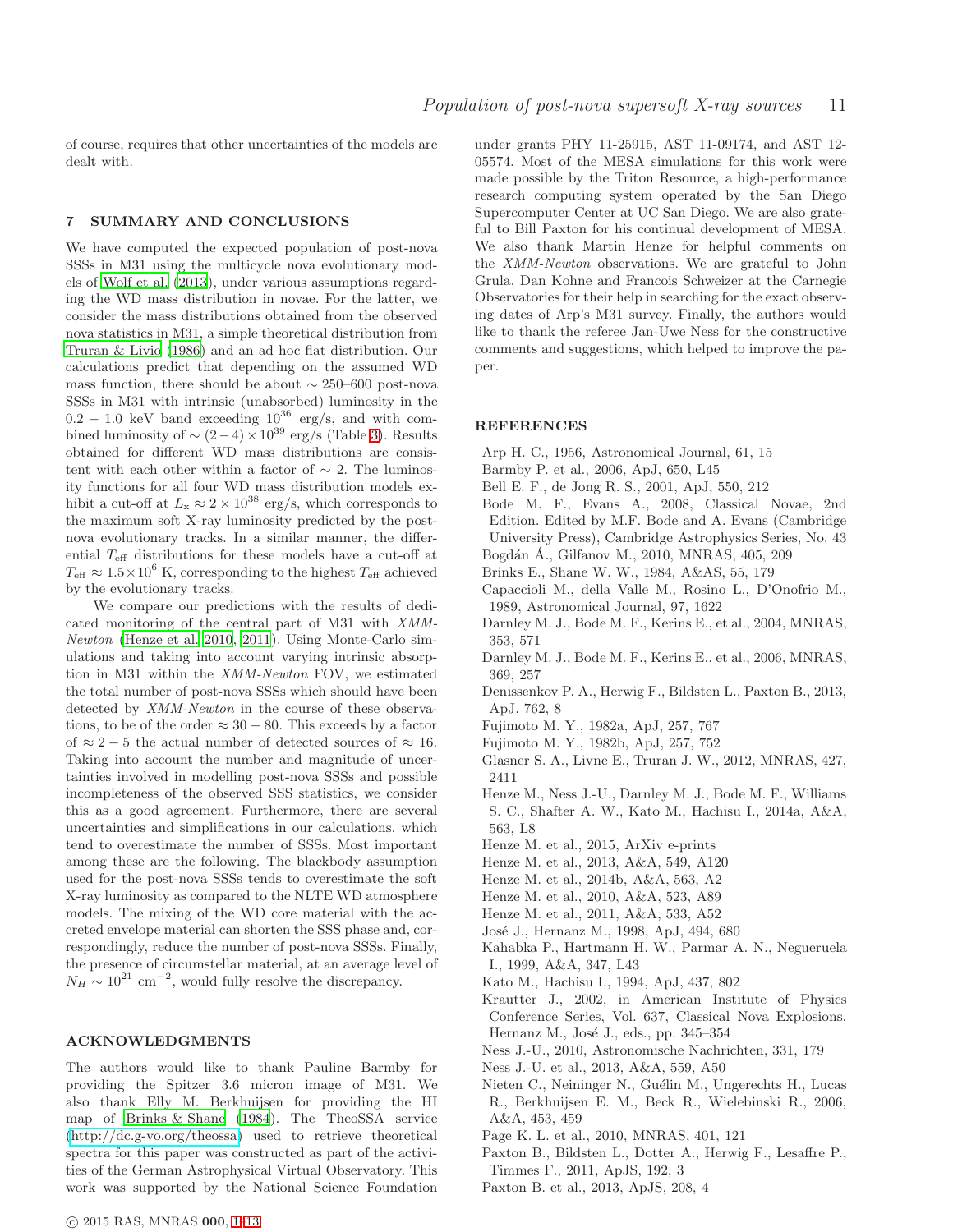of course, requires that other uncertainties of the models are dealt with.

## <span id="page-10-12"></span>7 SUMMARY AND CONCLUSIONS

We have computed the expected population of post-nova SSSs in M31 using the multicycle nova evolutionary models of [Wolf et al. \(2013](#page-11-2)), under various assumptions regarding the WD mass distribution in novae. For the latter, we consider the mass distributions obtained from the observed nova statistics in M31, a simple theoretical distribution from [Truran & Livio \(1986\)](#page-11-15) and an ad hoc flat distribution. Our calculations predict that depending on the assumed WD mass function, there should be about  $\sim$  250–600 post-nova SSSs in M31 with intrinsic (unabsorbed) luminosity in the  $0.2 - 1.0$  keV band exceeding  $10^{36}$  erg/s, and with combined luminosity of  $\sim (2-4) \times 10^{39}$  erg/s (Table [3\)](#page-8-1). Results obtained for different WD mass distributions are consistent with each other within a factor of  $\sim$  2. The luminosity functions for all four WD mass distribution models exhibit a cut-off at  $L_x \approx 2 \times 10^{38}$  erg/s, which corresponds to the maximum soft X-ray luminosity predicted by the postnova evolutionary tracks. In a similar manner, the differential  $T_{\rm eff}$  distributions for these models have a cut-off at  $T_{\text{eff}} \approx 1.5 \times 10^6$  K, corresponding to the highest  $T_{\text{eff}}$  achieved by the evolutionary tracks.

We compare our predictions with the results of dedicated monitoring of the central part of M31 with XMM-Newton [\(Henze et al. 2010,](#page-10-10) [2011](#page-10-8)). Using Monte-Carlo simulations and taking into account varying intrinsic absorption in M31 within the XMM-Newton FOV, we estimated the total number of post-nova SSSs which should have been detected by XMM-Newton in the course of these observations, to be of the order  $\approx 30 - 80$ . This exceeds by a factor of  $\approx 2-5$  the actual number of detected sources of  $\approx 16$ . Taking into account the number and magnitude of uncertainties involved in modelling post-nova SSSs and possible incompleteness of the observed SSS statistics, we consider this as a good agreement. Furthermore, there are several uncertainties and simplifications in our calculations, which tend to overestimate the number of SSSs. Most important among these are the following. The blackbody assumption used for the post-nova SSSs tends to overestimate the soft X-ray luminosity as compared to the NLTE WD atmosphere models. The mixing of the WD core material with the accreted envelope material can shorten the SSS phase and, correspondingly, reduce the number of post-nova SSSs. Finally, the presence of circumstellar material, at an average level of  $N_H \sim 10^{21}$  cm<sup>-2</sup>, would fully resolve the discrepancy.

#### ACKNOWLEDGMENTS

The authors would like to thank Pauline Barmby for providing the Spitzer 3.6 micron image of M31. We also thank Elly M. Berkhuijsen for providing the HI map of [Brinks & Shane \(1984](#page-10-19)). The TheoSSA service [\(http://dc.g-vo.org/theossa\)](http://dc.g-vo.org/theossa) used to retrieve theoretical spectra for this paper was constructed as part of the activities of the German Astrophysical Virtual Observatory. This work was supported by the National Science Foundation

under grants PHY 11-25915, AST 11-09174, and AST 12- 05574. Most of the MESA simulations for this work were made possible by the Triton Resource, a high-performance research computing system operated by the San Diego Supercomputer Center at UC San Diego. We are also grateful to Bill Paxton for his continual development of MESA. We also thank Martin Henze for helpful comments on the XMM-Newton observations. We are grateful to John Grula, Dan Kohne and Francois Schweizer at the Carnegie Observatories for their help in searching for the exact observing dates of Arp's M31 survey. Finally, the authors would like to thank the referee Jan-Uwe Ness for the constructive comments and suggestions, which helped to improve the paper.

# **REFERENCES**

- <span id="page-10-13"></span>Arp H. C., 1956, Astronomical Journal, 61, 15
- <span id="page-10-18"></span>Barmby P. et al., 2006, ApJ, 650, L45
- <span id="page-10-29"></span>Bell E. F., de Jong R. S., 2001, ApJ, 550, 212
- <span id="page-10-5"></span>Bode M. F., Evans A., 2008, Classical Novae, 2nd Edition. Edited by M.F. Bode and A. Evans (Cambridge University Press), Cambridge Astrophysics Series, No. 43 Bogdán Á., Gilfanov M., 2010, MNRAS, 405, 209
- <span id="page-10-28"></span><span id="page-10-19"></span>Brinks E., Shane W. W., 1984, A&AS, 55, 179
- <span id="page-10-26"></span>Capaccioli M., della Valle M., Rosino L., D'Onofrio M., 1989, Astronomical Journal, 97, 1622
- <span id="page-10-14"></span>Darnley M. J., Bode M. F., Kerins E., et al., 2004, MNRAS, 353, 571
- <span id="page-10-27"></span>Darnley M. J., Bode M. F., Kerins E., et al., 2006, MNRAS, 369, 257
- <span id="page-10-16"></span>Denissenkov P. A., Herwig F., Bildsten L., Paxton B., 2013, ApJ, 762, 8
- <span id="page-10-1"></span>Fujimoto M. Y., 1982a, ApJ, 257, 767
- <span id="page-10-0"></span>Fujimoto M. Y., 1982b, ApJ, 257, 752
- <span id="page-10-23"></span>Glasner S. A., Livne E., Truran J. W., 2012, MNRAS, 427, 2411
- <span id="page-10-17"></span>Henze M., Ness J.-U., Darnley M. J., Bode M. F., Williams S. C., Shafter A. W., Kato M., Hachisu I., 2014a, A&A, 563, L8
- <span id="page-10-3"></span>Henze M. et al., 2015, ArXiv e-prints
- <span id="page-10-9"></span>Henze M. et al., 2013, A&A, 549, A120
- <span id="page-10-11"></span>Henze M. et al., 2014b, A&A, 563, A2
- <span id="page-10-10"></span>Henze M. et al., 2010, A&A, 523, A89
- <span id="page-10-8"></span>Henze M. et al., 2011, A&A, 533, A52
- <span id="page-10-4"></span>José J., Hernanz M., 1998, ApJ, 494, 680
- <span id="page-10-25"></span>Kahabka P., Hartmann H. W., Parmar A. N., Negueruela I., 1999, A&A, 347, L43
- <span id="page-10-15"></span>Kato M., Hachisu I., 1994, ApJ, 437, 802
- <span id="page-10-2"></span>Krautter J., 2002, in American Institute of Physics Conference Series, Vol. 637, Classical Nova Explosions, Hernanz M., José J., eds., pp. 345–354
- <span id="page-10-22"></span>Ness J.-U., 2010, Astronomische Nachrichten, 331, 179
- <span id="page-10-21"></span>Ness J.-U. et al., 2013, A&A, 559, A50
- <span id="page-10-20"></span>Nieten C., Neininger N., Guélin M., Ungerechts H., Lucas R., Berkhuijsen E. M., Beck R., Wielebinski R., 2006, A&A, 453, 459
- <span id="page-10-24"></span>Page K. L. et al., 2010, MNRAS, 401, 121
- <span id="page-10-6"></span>Paxton B., Bildsten L., Dotter A., Herwig F., Lesaffre P., Timmes F., 2011, ApJS, 192, 3
- <span id="page-10-7"></span>Paxton B. et al., 2013, ApJS, 208, 4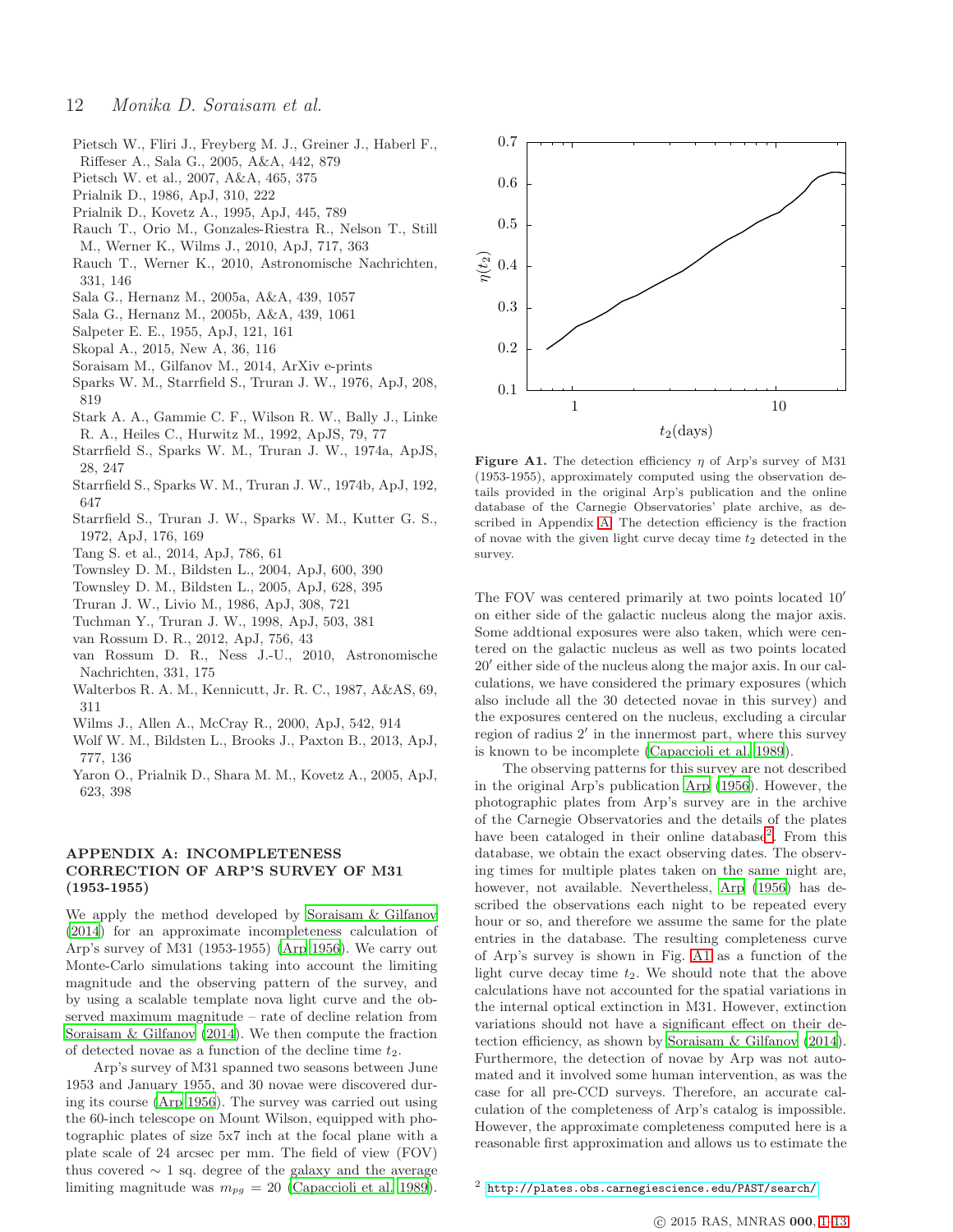- <span id="page-11-10"></span>Pietsch W., Fliri J., Freyberg M. J., Greiner J., Haberl F., Riffeser A., Sala G., 2005, A&A, 442, 879
- <span id="page-11-11"></span>Pietsch W. et al., 2007, A&A, 465, 375
- <span id="page-11-6"></span>Prialnik D., 1986, ApJ, 310, 222
- <span id="page-11-7"></span>Prialnik D., Kovetz A., 1995, ApJ, 445, 789
- <span id="page-11-24"></span>Rauch T., Orio M., Gonzales-Riestra R., Nelson T., Still M., Werner K., Wilms J., 2010, ApJ, 717, 363
- <span id="page-11-21"></span>Rauch T., Werner K., 2010, Astronomische Nachrichten, 331, 146
- <span id="page-11-9"></span>Sala G., Hernanz M., 2005a, A&A, 439, 1057
- <span id="page-11-1"></span>Sala G., Hernanz M., 2005b, A&A, 439, 1061
- <span id="page-11-17"></span>Salpeter E. E., 1955, ApJ, 121, 161
- <span id="page-11-20"></span>Skopal A., 2015, New A, 36, 116
- <span id="page-11-26"></span>Soraisam M., Gilfanov M., 2014, ArXiv e-prints
- <span id="page-11-0"></span>Sparks W. M., Starrfield S., Truran J. W., 1976, ApJ, 208, 819
- <span id="page-11-18"></span>Stark A. A., Gammie C. F., Wilson R. W., Bally J., Linke R. A., Heiles C., Hurwitz M., 1992, ApJS, 79, 77
- <span id="page-11-4"></span>Starrfield S., Sparks W. M., Truran J. W., 1974a, ApJS, 28, 247
- <span id="page-11-5"></span>Starrfield S., Sparks W. M., Truran J. W., 1974b, ApJ, 192, 647
- <span id="page-11-25"></span>Starrfield S., Truran J. W., Sparks W. M., Kutter G. S., 1972, ApJ, 176, 169
- <span id="page-11-3"></span>Tang S. et al., 2014, ApJ, 786, 61
- <span id="page-11-14"></span>Townsley D. M., Bildsten L., 2004, ApJ, 600, 390
- <span id="page-11-13"></span>Townsley D. M., Bildsten L., 2005, ApJ, 628, 395
- <span id="page-11-15"></span>Truran J. W., Livio M., 1986, ApJ, 308, 721
- <span id="page-11-8"></span>Tuchman Y., Truran J. W., 1998, ApJ, 503, 381
- <span id="page-11-23"></span>van Rossum D. R., 2012, ApJ, 756, 43
- <span id="page-11-22"></span>van Rossum D. R., Ness J.-U., 2010, Astronomische Nachrichten, 331, 175
- <span id="page-11-29"></span>Walterbos R. A. M., Kennicutt, Jr. R. C., 1987, A&AS, 69, 311
- <span id="page-11-19"></span>Wilms J., Allen A., McCray R., 2000, ApJ, 542, 914
- <span id="page-11-2"></span>Wolf W. M., Bildsten L., Brooks J., Paxton B., 2013, ApJ, 777, 136
- <span id="page-11-12"></span>Yaron O., Prialnik D., Shara M. M., Kovetz A., 2005, ApJ, 623, 398

# <span id="page-11-16"></span>APPENDIX A: INCOMPLETENESS CORRECTION OF ARP'S SURVEY OF M31 (1953-1955)

We apply the method developed by [Soraisam & Gilfanov](#page-11-26) [\(2014](#page-11-26)) for an approximate incompleteness calculation of Arp's survey of M31 (1953-1955) [\(Arp 1956\)](#page-10-13). We carry out Monte-Carlo simulations taking into account the limiting magnitude and the observing pattern of the survey, and by using a scalable template nova light curve and the observed maximum magnitude – rate of decline relation from [Soraisam & Gilfanov \(2014\)](#page-11-26). We then compute the fraction of detected novae as a function of the decline time  $t_2$ .

Arp's survey of M31 spanned two seasons between June 1953 and January 1955, and 30 novae were discovered during its course [\(Arp 1956\)](#page-10-13). The survey was carried out using the 60-inch telescope on Mount Wilson, equipped with photographic plates of size 5x7 inch at the focal plane with a plate scale of 24 arcsec per mm. The field of view (FOV) thus covered  $∼ 1$  sq. degree of the galaxy and the average limiting magnitude was  $m_{pg} = 20$  [\(Capaccioli et al. 1989](#page-10-26)).



<span id="page-11-28"></span>Figure A1. The detection efficiency  $\eta$  of Arp's survey of M31 (1953-1955), approximately computed using the observation details provided in the original Arp's publication and the online database of the Carnegie Observatories' plate archive, as described in Appendix [A.](#page-11-16) The detection efficiency is the fraction of novae with the given light curve decay time  $t_2$  detected in the survey.

The FOV was centered primarily at two points located 10′ on either side of the galactic nucleus along the major axis. Some addtional exposures were also taken, which were centered on the galactic nucleus as well as two points located 20′ either side of the nucleus along the major axis. In our calculations, we have considered the primary exposures (which also include all the 30 detected novae in this survey) and the exposures centered on the nucleus, excluding a circular region of radius 2′ in the innermost part, where this survey is known to be incomplete [\(Capaccioli et al. 1989](#page-10-26)).

The observing patterns for this survey are not described in the original Arp's publication [Arp \(1956](#page-10-13)). However, the photographic plates from Arp's survey are in the archive of the Carnegie Observatories and the details of the plates have been cataloged in their online database<sup>[2](#page-11-27)</sup>. From this database, we obtain the exact observing dates. The observing times for multiple plates taken on the same night are, however, not available. Nevertheless, [Arp \(1956](#page-10-13)) has described the observations each night to be repeated every hour or so, and therefore we assume the same for the plate entries in the database. The resulting completeness curve of Arp's survey is shown in Fig. [A1](#page-11-28) as a function of the light curve decay time  $t_2$ . We should note that the above calculations have not accounted for the spatial variations in the internal optical extinction in M31. However, extinction variations should not have a significant effect on their detection efficiency, as shown by [Soraisam & Gilfanov \(2014](#page-11-26)). Furthermore, the detection of novae by Arp was not automated and it involved some human intervention, as was the case for all pre-CCD surveys. Therefore, an accurate calculation of the completeness of Arp's catalog is impossible. However, the approximate completeness computed here is a reasonable first approximation and allows us to estimate the

<span id="page-11-27"></span><sup>2</sup> <http://plates.obs.carnegiescience.edu/PAST/search/>